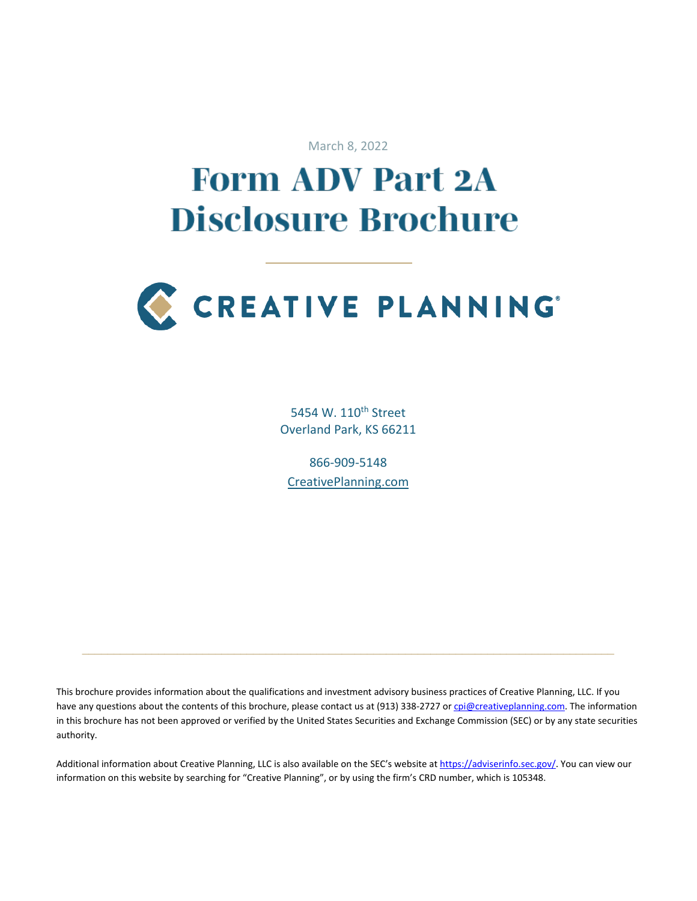March 8, 2022

# **Form ADV Part 2A Disclosure Brochure**



5454 W. 110<sup>th</sup> Street Overland Park, KS 66211

866-909-5148 [CreativePlanning.com](https://creativeplanning.com/)

This brochure provides information about the qualifications and investment advisory business practices of Creative Planning, LLC. If you have any questions about the contents of this brochure, please contact us at (913) 338-2727 or [cpi@creativeplanning.com.](mailto:cpi@creativeplanning.com) The information in this brochure has not been approved or verified by the United States Securities and Exchange Commission (SEC) or by any state securities authority.

 $\_$  , and the set of the set of the set of the set of the set of the set of the set of the set of the set of the set of the set of the set of the set of the set of the set of the set of the set of the set of the set of th

Additional information about Creative Planning, LLC is also available on the SEC's website at [https://adviserinfo.sec.gov/.](https://adviserinfo.sec.gov/) You can view our information on this website by searching for "Creative Planning", or by using the firm's CRD number, which is 105348.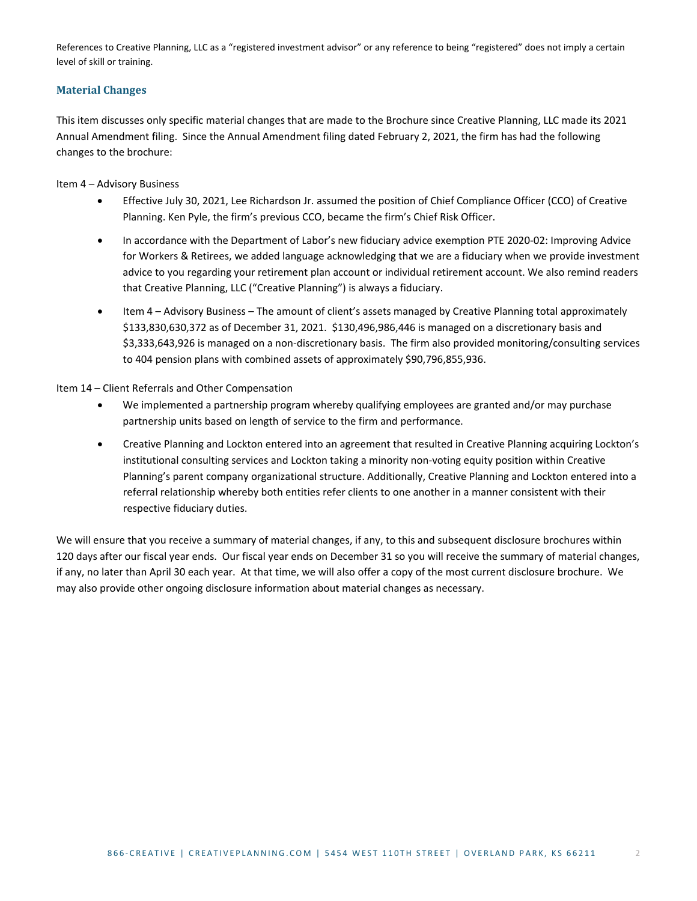References to Creative Planning, LLC as a "registered investment advisor" or any reference to being "registered" does not imply a certain level of skill or training.

# <span id="page-1-0"></span>**Material Changes**

This item discusses only specific material changes that are made to the Brochure since Creative Planning, LLC made its 2021 Annual Amendment filing. Since the Annual Amendment filing dated February 2, 2021, the firm has had the following changes to the brochure:

Item 4 – Advisory Business

- Effective July 30, 2021, Lee Richardson Jr. assumed the position of Chief Compliance Officer (CCO) of Creative Planning. Ken Pyle, the firm's previous CCO, became the firm's Chief Risk Officer.
- In accordance with the Department of Labor's new fiduciary advice exemption PTE 2020-02: Improving Advice for Workers & Retirees, we added language acknowledging that we are a fiduciary when we provide investment advice to you regarding your retirement plan account or individual retirement account. We also remind readers that Creative Planning, LLC ("Creative Planning") is always a fiduciary.
- Item 4 Advisory Business The amount of client's assets managed by Creative Planning total approximately \$133,830,630,372 as of December 31, 2021. \$130,496,986,446 is managed on a discretionary basis and \$3,333,643,926 is managed on a non-discretionary basis. The firm also provided monitoring/consulting services to 404 pension plans with combined assets of approximately \$90,796,855,936.

Item 14 – Client Referrals and Other Compensation

- We implemented a partnership program whereby qualifying employees are granted and/or may purchase partnership units based on length of service to the firm and performance.
- Creative Planning and Lockton entered into an agreement that resulted in Creative Planning acquiring Lockton's institutional consulting services and Lockton taking a minority non-voting equity position within Creative Planning's parent company organizational structure. Additionally, Creative Planning and Lockton entered into a referral relationship whereby both entities refer clients to one another in a manner consistent with their respective fiduciary duties.

We will ensure that you receive a summary of material changes, if any, to this and subsequent disclosure brochures within 120 days after our fiscal year ends. Our fiscal year ends on December 31 so you will receive the summary of material changes, if any, no later than April 30 each year. At that time, we will also offer a copy of the most current disclosure brochure. We may also provide other ongoing disclosure information about material changes as necessary.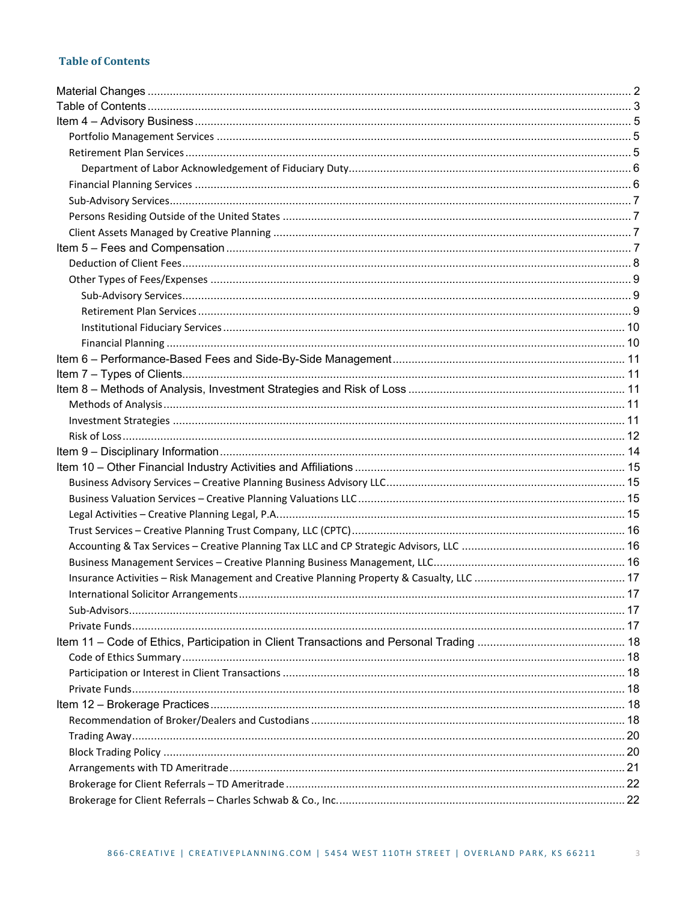# <span id="page-2-0"></span>**Table of Contents**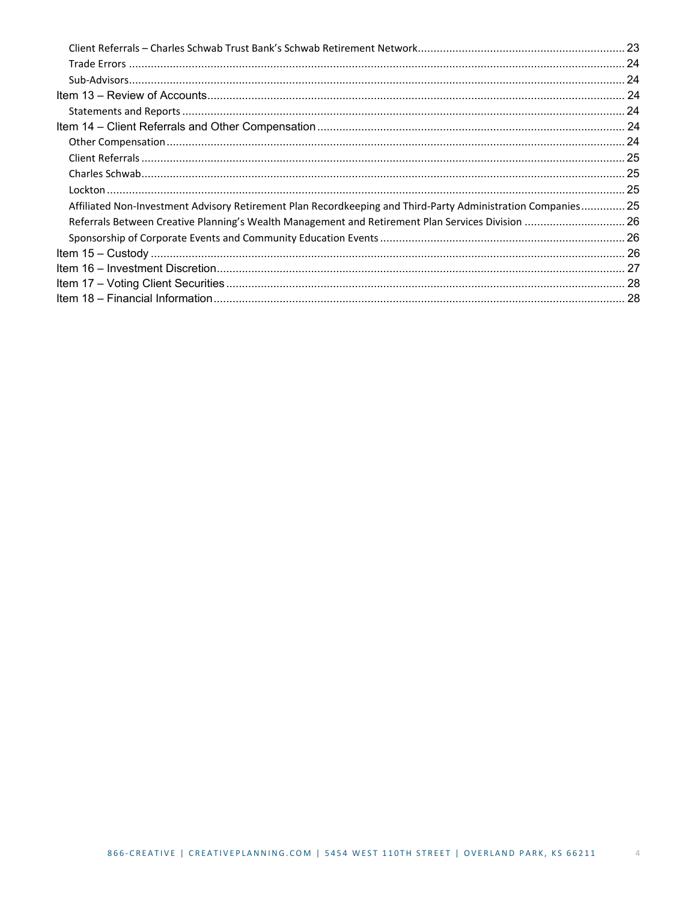| Affiliated Non-Investment Advisory Retirement Plan Recordkeeping and Third-Party Administration Companies 25 |  |
|--------------------------------------------------------------------------------------------------------------|--|
| Referrals Between Creative Planning's Wealth Management and Retirement Plan Services Division  26            |  |
|                                                                                                              |  |
|                                                                                                              |  |
|                                                                                                              |  |
|                                                                                                              |  |
|                                                                                                              |  |
|                                                                                                              |  |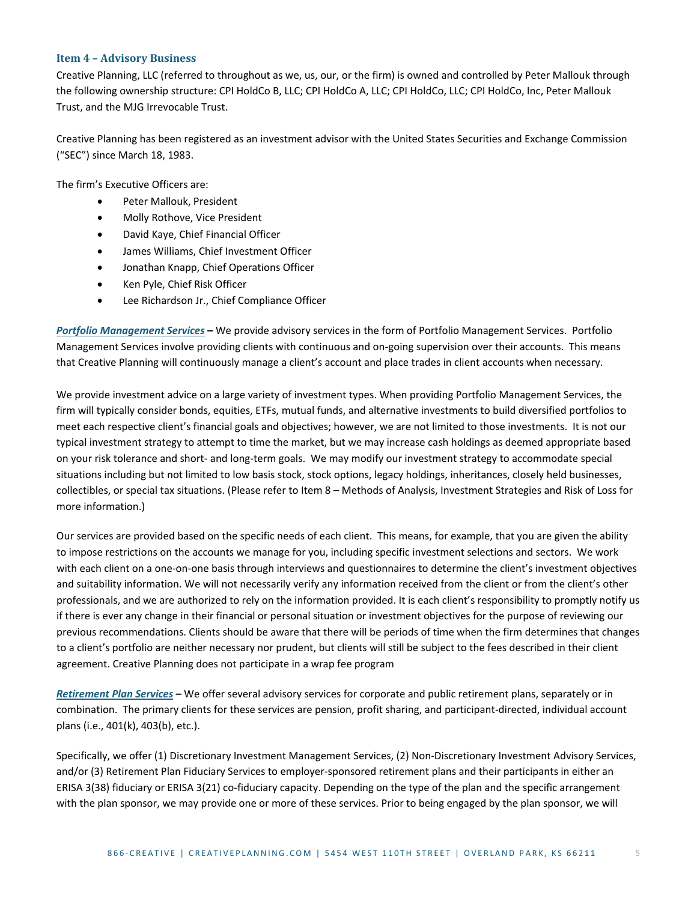#### <span id="page-4-0"></span>**Item 4 – Advisory Business**

Creative Planning, LLC (referred to throughout as we, us, our, or the firm) is owned and controlled by Peter Mallouk through the following ownership structure: CPI HoldCo B, LLC; CPI HoldCo A, LLC; CPI HoldCo, LLC; CPI HoldCo, Inc, Peter Mallouk Trust, and the MJG Irrevocable Trust.

Creative Planning has been registered as an investment advisor with the United States Securities and Exchange Commission ("SEC") since March 18, 1983.

The firm's Executive Officers are:

- Peter Mallouk, President
- Molly Rothove, Vice President
- David Kaye, Chief Financial Officer
- James Williams, Chief Investment Officer
- Jonathan Knapp, Chief Operations Officer
- Ken Pyle, Chief Risk Officer
- Lee Richardson Jr., Chief Compliance Officer

<span id="page-4-1"></span>*Portfolio Management Services* **–** We provide advisory services in the form of Portfolio Management Services. Portfolio Management Services involve providing clients with continuous and on-going supervision over their accounts. This means that Creative Planning will continuously manage a client's account and place trades in client accounts when necessary.

We provide investment advice on a large variety of investment types. When providing Portfolio Management Services, the firm will typically consider bonds, equities, ETFs, mutual funds, and alternative investments to build diversified portfolios to meet each respective client's financial goals and objectives; however, we are not limited to those investments. It is not our typical investment strategy to attempt to time the market, but we may increase cash holdings as deemed appropriate based on your risk tolerance and short- and long-term goals. We may modify our investment strategy to accommodate special situations including but not limited to low basis stock, stock options, legacy holdings, inheritances, closely held businesses, collectibles, or special tax situations. (Please refer to Item 8 – Methods of Analysis, Investment Strategies and Risk of Loss for more information.)

Our services are provided based on the specific needs of each client. This means, for example, that you are given the ability to impose restrictions on the accounts we manage for you, including specific investment selections and sectors. We work with each client on a one-on-one basis through interviews and questionnaires to determine the client's investment objectives and suitability information. We will not necessarily verify any information received from the client or from the client's other professionals, and we are authorized to rely on the information provided. It is each client's responsibility to promptly notify us if there is ever any change in their financial or personal situation or investment objectives for the purpose of reviewing our previous recommendations. Clients should be aware that there will be periods of time when the firm determines that changes to a client's portfolio are neither necessary nor prudent, but clients will still be subject to the fees described in their client agreement. Creative Planning does not participate in a wrap fee program

<span id="page-4-2"></span>*Retirement Plan Services* **–** We offer several advisory services for corporate and public retirement plans, separately or in combination. The primary clients for these services are pension, profit sharing, and participant-directed, individual account plans (i.e., 401(k), 403(b), etc.).

Specifically, we offer (1) Discretionary Investment Management Services, (2) Non-Discretionary Investment Advisory Services, and/or (3) Retirement Plan Fiduciary Services to employer-sponsored retirement plans and their participants in either an ERISA 3(38) fiduciary or ERISA 3(21) co-fiduciary capacity. Depending on the type of the plan and the specific arrangement with the plan sponsor, we may provide one or more of these services. Prior to being engaged by the plan sponsor, we will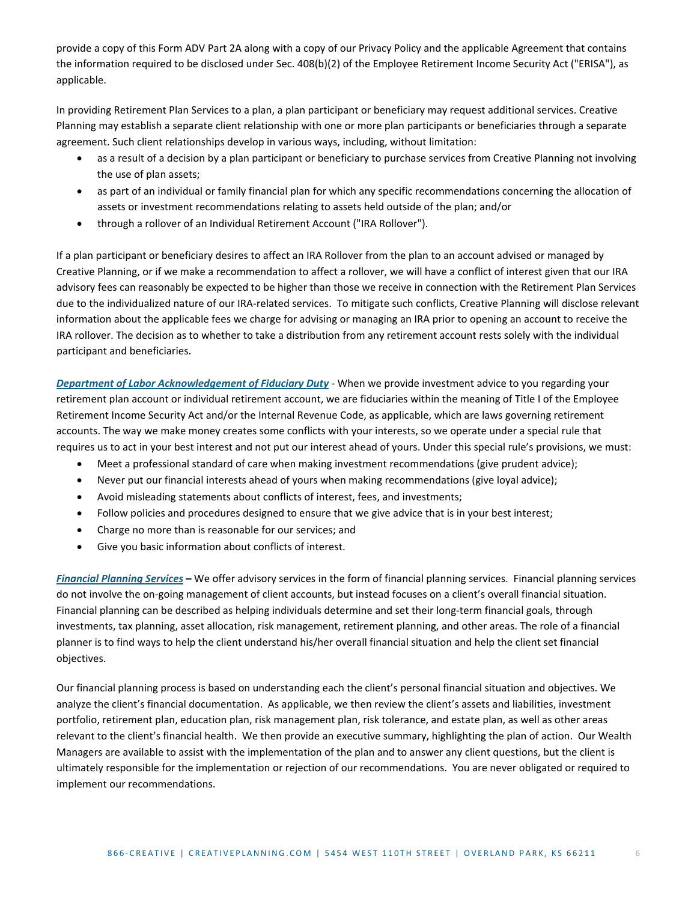provide a copy of this Form ADV Part 2A along with a copy of our Privacy Policy and the applicable Agreement that contains the information required to be disclosed under Sec. 408(b)(2) of the Employee Retirement Income Security Act ("ERISA"), as applicable.

In providing Retirement Plan Services to a plan, a plan participant or beneficiary may request additional services. Creative Planning may establish a separate client relationship with one or more plan participants or beneficiaries through a separate agreement. Such client relationships develop in various ways, including, without limitation:

- as a result of a decision by a plan participant or beneficiary to purchase services from Creative Planning not involving the use of plan assets;
- as part of an individual or family financial plan for which any specific recommendations concerning the allocation of assets or investment recommendations relating to assets held outside of the plan; and/or
- through a rollover of an Individual Retirement Account ("IRA Rollover").

If a plan participant or beneficiary desires to affect an IRA Rollover from the plan to an account advised or managed by Creative Planning, or if we make a recommendation to affect a rollover, we will have a conflict of interest given that our IRA advisory fees can reasonably be expected to be higher than those we receive in connection with the Retirement Plan Services due to the individualized nature of our IRA-related services. To mitigate such conflicts, Creative Planning will disclose relevant information about the applicable fees we charge for advising or managing an IRA prior to opening an account to receive the IRA rollover. The decision as to whether to take a distribution from any retirement account rests solely with the individual participant and beneficiaries.

<span id="page-5-0"></span>*Department of Labor Acknowledgement of Fiduciary Duty* - When we provide investment advice to you regarding your retirement plan account or individual retirement account, we are fiduciaries within the meaning of Title I of the Employee Retirement Income Security Act and/or the Internal Revenue Code, as applicable, which are laws governing retirement accounts. The way we make money creates some conflicts with your interests, so we operate under a special rule that requires us to act in your best interest and not put our interest ahead of yours. Under this special rule's provisions, we must:

- Meet a professional standard of care when making investment recommendations (give prudent advice);
- Never put our financial interests ahead of yours when making recommendations (give loyal advice);
- Avoid misleading statements about conflicts of interest, fees, and investments;
- Follow policies and procedures designed to ensure that we give advice that is in your best interest;
- Charge no more than is reasonable for our services; and
- Give you basic information about conflicts of interest.

<span id="page-5-1"></span>*Financial Planning Services* **–** We offer advisory services in the form of financial planning services. Financial planning services do not involve the on-going management of client accounts, but instead focuses on a client's overall financial situation. Financial planning can be described as helping [individuals](http://www.businessdictionary.com/definition/individual.html) determine and set thei[r long-term](http://www.investorwords.com/2885/long_term.html) [financial](http://www.investorwords.com/5572/financial.html) [goals,](http://www.investorwords.com/2187/goal.html) through [investments,](http://www.investorwords.com/2599/investment.html) tax [planning,](http://www.investorwords.com/4907/tax_planning.html) [asset allocation,](http://www.investorwords.com/275/asset_allocation.html) risk [management,](http://www.investorwords.com/4304/risk_management.html) [retirement planning,](http://www.investorwords.com/6907/retirement_planning.html) an[d other](http://www.investorwords.com/1752/estate_planning.html) areas. The [role](http://www.businessdictionary.com/definition/role.html) of a financial planner is to find ways to help the client understand his/her [overall](http://www.investorwords.com/3267/net_worth.html) financial situation and help the [client](http://www.investorwords.com/883/client.html) set financial [objectives.](http://www.investorwords.com/3372/objective.html)

Our financial planning process is based on understanding each the client's personal financial situation and objectives. We analyze the client's financial documentation. As applicable, we then review the client's assets and liabilities, investment portfolio, retirement plan, education plan, risk management plan, risk tolerance, and estate plan, as well as other areas relevant to the client's financial health. We then provide an executive summary, highlighting the plan of action. Our Wealth Managers are available to assist with the implementation of the plan and to answer any client questions, but the client is ultimately responsible for the implementation or rejection of our recommendations. You are never obligated or required to implement our recommendations.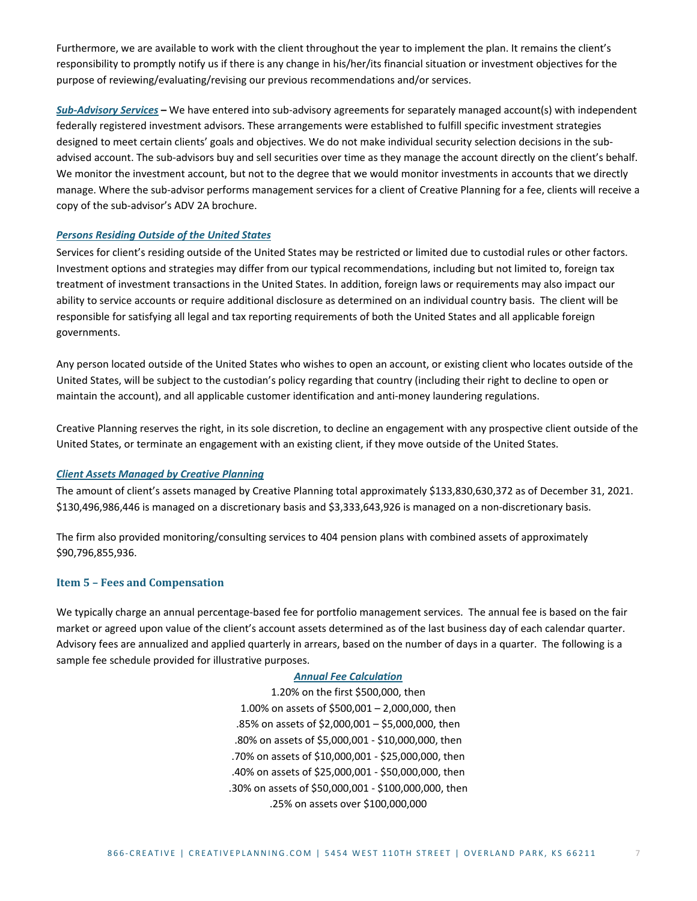Furthermore, we are available to work with the client throughout the year to implement the plan. It remains the client's responsibility to promptly notify us if there is any change in his/her/its financial situation or investment objectives for the purpose of reviewing/evaluating/revising our previous recommendations and/or services.

<span id="page-6-0"></span>*Sub-Advisory Services* **–** We have entered into sub-advisory agreements for separately managed account(s) with independent federally registered investment advisors. These arrangements were established to fulfill specific investment strategies designed to meet certain clients' goals and objectives. We do not make individual security selection decisions in the subadvised account. The sub-advisors buy and sell securities over time as they manage the account directly on the client's behalf. We monitor the investment account, but not to the degree that we would monitor investments in accounts that we directly manage. Where the sub-advisor performs management services for a client of Creative Planning for a fee, clients will receive a copy of the sub-advisor's ADV 2A brochure.

#### <span id="page-6-1"></span>*Persons Residing Outside of the United States*

Services for client's residing outside of the United States may be restricted or limited due to custodial rules or other factors. Investment options and strategies may differ from our typical recommendations, including but not limited to, foreign tax treatment of investment transactions in the United States. In addition, foreign laws or requirements may also impact our ability to service accounts or require additional disclosure as determined on an individual country basis. The client will be responsible for satisfying all legal and tax reporting requirements of both the United States and all applicable foreign governments.

Any person located outside of the United States who wishes to open an account, or existing client who locates outside of the United States, will be subject to the custodian's policy regarding that country (including their right to decline to open or maintain the account), and all applicable customer identification and anti-money laundering regulations.

Creative Planning reserves the right, in its sole discretion, to decline an engagement with any prospective client outside of the United States, or terminate an engagement with an existing client, if they move outside of the United States.

#### <span id="page-6-2"></span>*Client Assets Managed by Creative Planning*

The amount of client's assets managed by Creative Planning total approximately \$133,830,630,372 as of December 31, 2021. \$130,496,986,446 is managed on a discretionary basis and \$3,333,643,926 is managed on a non-discretionary basis.

The firm also provided monitoring/consulting services to 404 pension plans with combined assets of approximately \$90,796,855,936.

#### <span id="page-6-3"></span>**Item 5 – Fees and Compensation**

We typically charge an annual percentage-based fee for portfolio management services. The annual fee is based on the fair market or agreed upon value of the client's account assets determined as of the last business day of each calendar quarter. Advisory fees are annualized and applied quarterly in arrears, based on the number of days in a quarter. The following is a sample fee schedule provided for illustrative purposes.

#### *Annual Fee Calculation*

1.20% on the first \$500,000, then 1.00% on assets of \$500,001 – 2,000,000, then .85% on assets of \$2,000,001 – \$5,000,000, then .80% on assets of \$5,000,001 - \$10,000,000, then .70% on assets of \$10,000,001 - \$25,000,000, then .40% on assets of \$25,000,001 - \$50,000,000, then .30% on assets of \$50,000,001 - \$100,000,000, then .25% on assets over \$100,000,000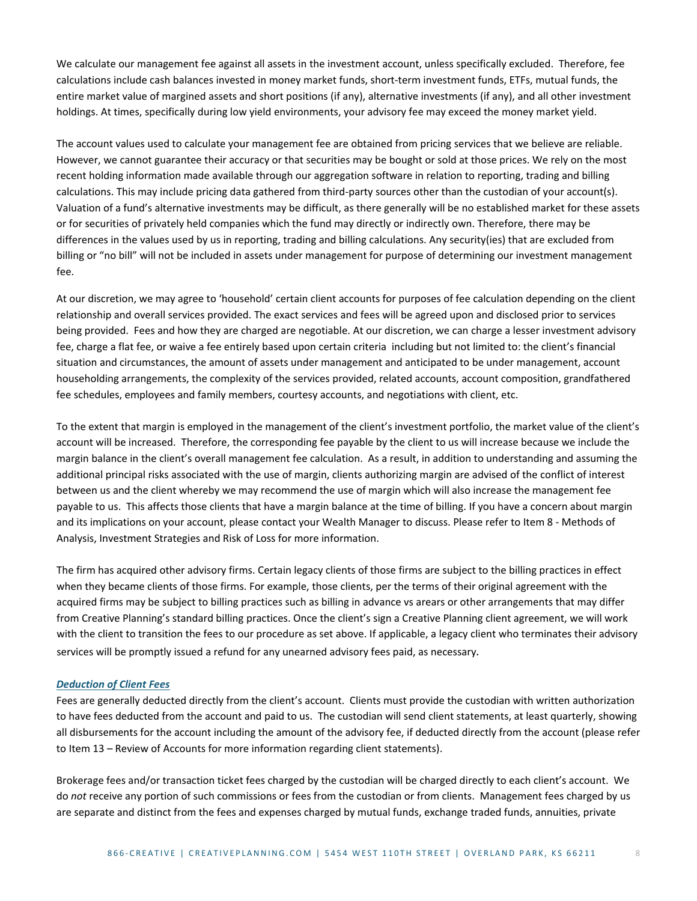We calculate our management fee against all assets in the investment account, unless specifically excluded. Therefore, fee calculations include cash balances invested in money market funds, short-term investment funds, ETFs, mutual funds, the entire market value of margined assets and short positions (if any), alternative investments (if any), and all other investment holdings. At times, specifically during low yield environments, your advisory fee may exceed the money market yield.

The account values used to calculate your management fee are obtained from pricing services that we believe are reliable. However, we cannot guarantee their accuracy or that securities may be bought or sold at those prices. We rely on the most recent holding information made available through our aggregation software in relation to reporting, trading and billing calculations. This may include pricing data gathered from third-party sources other than the custodian of your account(s). Valuation of a fund's alternative investments may be difficult, as there generally will be no established market for these assets or for securities of privately held companies which the fund may directly or indirectly own. Therefore, there may be differences in the values used by us in reporting, trading and billing calculations. Any security(ies) that are excluded from billing or "no bill" will not be included in assets under management for purpose of determining our investment management fee.

At our discretion, we may agree to 'household' certain client accounts for purposes of fee calculation depending on the client relationship and overall services provided. The exact services and fees will be agreed upon and disclosed prior to services being provided. Fees and how they are charged are negotiable. At our discretion, we can charge a lesser investment advisory fee, charge a flat fee, or waive a fee entirely based upon certain criteria including but not limited to: the client's financial situation and circumstances, the amount of assets under management and anticipated to be under management, account householding arrangements, the complexity of the services provided, related accounts, account composition, grandfathered fee schedules, employees and family members, courtesy accounts, and negotiations with client, etc.

To the extent that margin is employed in the management of the client's investment portfolio, the market value of the client's account will be increased. Therefore, the corresponding fee payable by the client to us will increase because we include the margin balance in the client's overall management fee calculation. As a result, in addition to understanding and assuming the additional principal risks associated with the use of margin, clients authorizing margin are advised of the conflict of interest between us and the client whereby we may recommend the use of margin which will also increase the management fee payable to us. This affects those clients that have a margin balance at the time of billing. If you have a concern about margin and its implications on your account, please contact your Wealth Manager to discuss. Please refer to Item 8 - Methods of Analysis, Investment Strategies and Risk of Loss for more information.

The firm has acquired other advisory firms. Certain legacy clients of those firms are subject to the billing practices in effect when they became clients of those firms. For example, those clients, per the terms of their original agreement with the acquired firms may be subject to billing practices such as billing in advance vs arears or other arrangements that may differ from Creative Planning's standard billing practices. Once the client's sign a Creative Planning client agreement, we will work with the client to transition the fees to our procedure as set above. If applicable, a legacy client who terminates their advisory services will be promptly issued a refund for any unearned advisory fees paid, as necessary.

#### <span id="page-7-0"></span>*Deduction of Client Fees*

Fees are generally deducted directly from the client's account. Clients must provide the custodian with written authorization to have fees deducted from the account and paid to us. The custodian will send client statements, at least quarterly, showing all disbursements for the account including the amount of the advisory fee, if deducted directly from the account (please refer to Item 13 – Review of Accounts for more information regarding client statements).

Brokerage fees and/or transaction ticket fees charged by the custodian will be charged directly to each client's account. We do *not* receive any portion of such commissions or fees from the custodian or from clients. Management fees charged by us are separate and distinct from the fees and expenses charged by mutual funds, exchange traded funds, annuities, private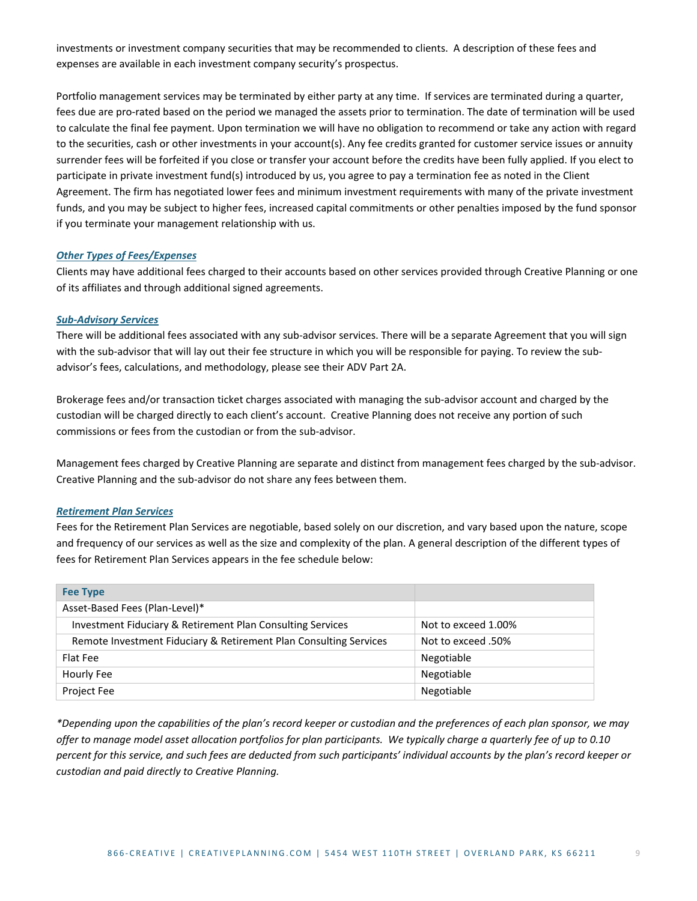investments or investment company securities that may be recommended to clients. A description of these fees and expenses are available in each investment company security's prospectus.

Portfolio management services may be terminated by either party at any time. If services are terminated during a quarter, fees due are pro-rated based on the period we managed the assets prior to termination. The date of termination will be used to calculate the final fee payment. Upon termination we will have no obligation to recommend or take any action with regard to the securities, cash or other investments in your account(s). Any fee credits granted for customer service issues or annuity surrender fees will be forfeited if you close or transfer your account before the credits have been fully applied. If you elect to participate in private investment fund(s) introduced by us, you agree to pay a termination fee as noted in the Client Agreement. The firm has negotiated lower fees and minimum investment requirements with many of the private investment funds, and you may be subject to higher fees, increased capital commitments or other penalties imposed by the fund sponsor if you terminate your management relationship with us.

#### <span id="page-8-0"></span>*Other Types of Fees/Expenses*

Clients may have additional fees charged to their accounts based on other services provided through Creative Planning or one of its affiliates and through additional signed agreements.

#### <span id="page-8-1"></span>*Sub-Advisory Services*

There will be additional fees associated with any sub-advisor services. There will be a separate Agreement that you will sign with the sub-advisor that will lay out their fee structure in which you will be responsible for paying. To review the subadvisor's fees, calculations, and methodology, please see their ADV Part 2A.

Brokerage fees and/or transaction ticket charges associated with managing the sub-advisor account and charged by the custodian will be charged directly to each client's account. Creative Planning does not receive any portion of such commissions or fees from the custodian or from the sub-advisor.

Management fees charged by Creative Planning are separate and distinct from management fees charged by the sub-advisor. Creative Planning and the sub-advisor do not share any fees between them.

#### <span id="page-8-2"></span>*Retirement Plan Services*

Fees for the Retirement Plan Services are negotiable, based solely on our discretion, and vary based upon the nature, scope and frequency of our services as well as the size and complexity of the plan. A general description of the different types of fees for Retirement Plan Services appears in the fee schedule below:

| <b>Fee Type</b>                                                   |                     |
|-------------------------------------------------------------------|---------------------|
| Asset-Based Fees (Plan-Level)*                                    |                     |
| Investment Fiduciary & Retirement Plan Consulting Services        | Not to exceed 1.00% |
| Remote Investment Fiduciary & Retirement Plan Consulting Services | Not to exceed .50%  |
| Flat Fee                                                          | Negotiable          |
| Hourly Fee                                                        | Negotiable          |
| <b>Project Fee</b>                                                | Negotiable          |

*\*Depending upon the capabilities of the plan's record keeper or custodian and the preferences of each plan sponsor, we may offer to manage model asset allocation portfolios for plan participants. We typically charge a quarterly fee of up to 0.10 percent for this service, and such fees are deducted from such participants' individual accounts by the plan's record keeper or custodian and paid directly to Creative Planning.*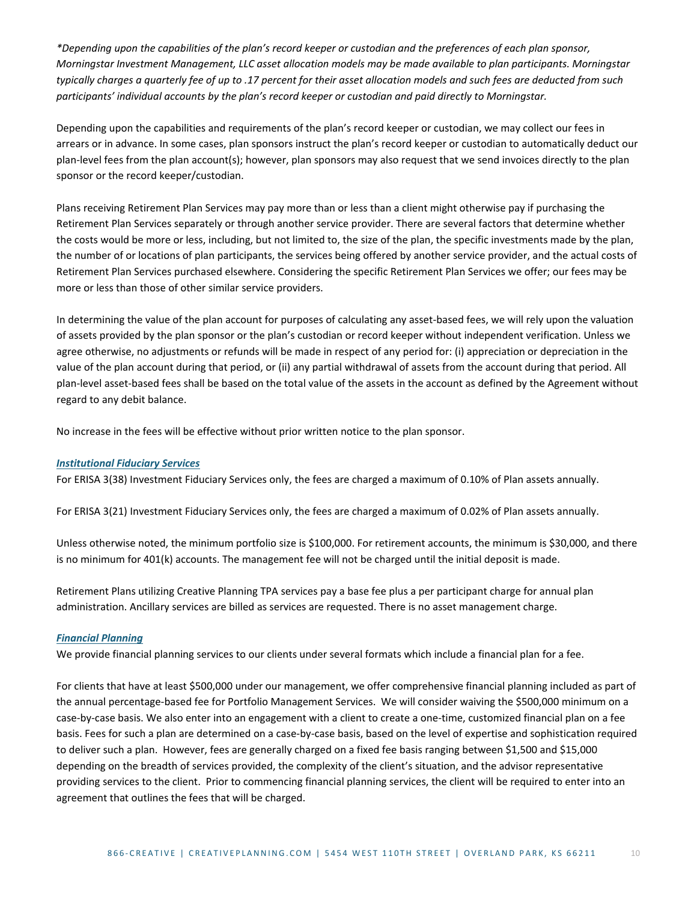*\*Depending upon the capabilities of the plan's record keeper or custodian and the preferences of each plan sponsor, Morningstar Investment Management, LLC asset allocation models may be made available to plan participants. Morningstar typically charges a quarterly fee of up to .17 percent for their asset allocation models and such fees are deducted from such participants' individual accounts by the plan's record keeper or custodian and paid directly to Morningstar.*

Depending upon the capabilities and requirements of the plan's record keeper or custodian, we may collect our fees in arrears or in advance. In some cases, plan sponsors instruct the plan's record keeper or custodian to automatically deduct our plan-level fees from the plan account(s); however, plan sponsors may also request that we send invoices directly to the plan sponsor or the record keeper/custodian.

Plans receiving Retirement Plan Services may pay more than or less than a client might otherwise pay if purchasing the Retirement Plan Services separately or through another service provider. There are several factors that determine whether the costs would be more or less, including, but not limited to, the size of the plan, the specific investments made by the plan, the number of or locations of plan participants, the services being offered by another service provider, and the actual costs of Retirement Plan Services purchased elsewhere. Considering the specific Retirement Plan Services we offer; our fees may be more or less than those of other similar service providers.

In determining the value of the plan account for purposes of calculating any asset-based fees, we will rely upon the valuation of assets provided by the plan sponsor or the plan's custodian or record keeper without independent verification. Unless we agree otherwise, no adjustments or refunds will be made in respect of any period for: (i) appreciation or depreciation in the value of the plan account during that period, or (ii) any partial withdrawal of assets from the account during that period. All plan-level asset-based fees shall be based on the total value of the assets in the account as defined by the Agreement without regard to any debit balance.

No increase in the fees will be effective without prior written notice to the plan sponsor.

# <span id="page-9-0"></span>*Institutional Fiduciary Services*

For ERISA 3(38) Investment Fiduciary Services only, the fees are charged a maximum of 0.10% of Plan assets annually.

For ERISA 3(21) Investment Fiduciary Services only, the fees are charged a maximum of 0.02% of Plan assets annually.

Unless otherwise noted, the minimum portfolio size is \$100,000. For retirement accounts, the minimum is \$30,000, and there is no minimum for 401(k) accounts. The management fee will not be charged until the initial deposit is made.

Retirement Plans utilizing Creative Planning TPA services pay a base fee plus a per participant charge for annual plan administration. Ancillary services are billed as services are requested. There is no asset management charge.

#### <span id="page-9-1"></span>*Financial Planning*

We provide financial planning services to our clients under several formats which include a financial plan for a fee.

For clients that have at least \$500,000 under our management, we offer comprehensive financial planning included as part of the annual percentage-based fee for Portfolio Management Services. We will consider waiving the \$500,000 minimum on a case-by-case basis. We also enter into an engagement with a client to create a one-time, customized financial plan on a fee basis. Fees for such a plan are determined on a case-by-case basis, based on the level of expertise and sophistication required to deliver such a plan. However, fees are generally charged on a fixed fee basis ranging between \$1,500 and \$15,000 depending on the breadth of services provided, the complexity of the client's situation, and the advisor representative providing services to the client. Prior to commencing financial planning services, the client will be required to enter into an agreement that outlines the fees that will be charged.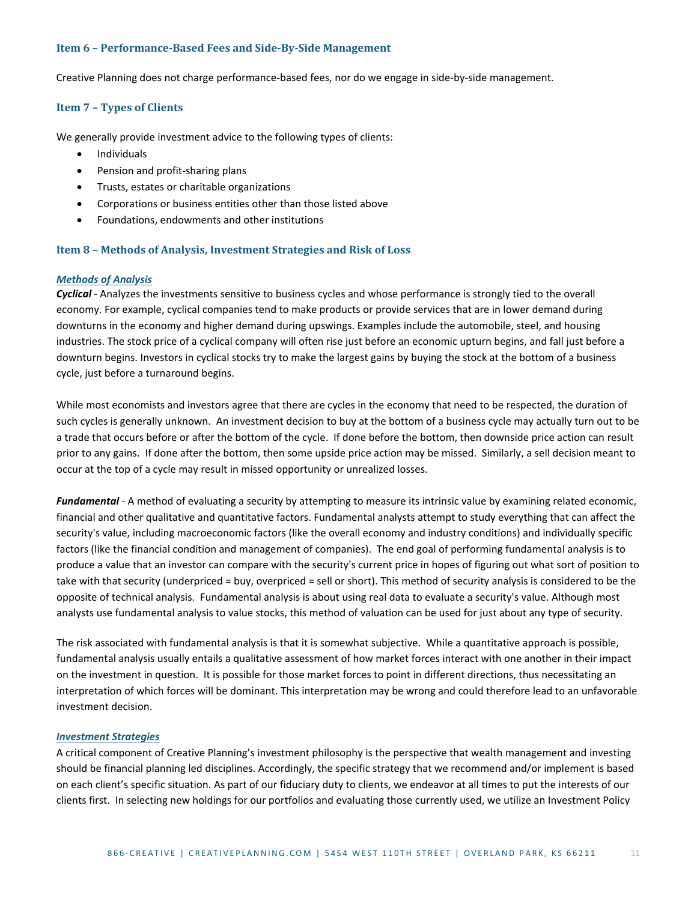#### <span id="page-10-0"></span>**Item 6 – Performance-Based Fees and Side-By-Side Management**

<span id="page-10-1"></span>Creative Planning does not charge performance-based fees, nor do we engage in side-by-side management.

#### **Item 7 – Types of Clients**

We generally provide investment advice to the following types of clients:

- Individuals
- Pension and profit-sharing plans
- Trusts, estates or charitable organizations
- Corporations or business entities other than those listed above
- Foundations, endowments and other institutions

#### <span id="page-10-2"></span>**Item 8 – Methods of Analysis, Investment Strategies and Risk of Loss**

#### <span id="page-10-3"></span>*Methods of Analysis*

*Cyclical* - Analyzes the investments sensitive to [business cycles](http://www.investorwords.com/625/business_cycle.html) and whose [performance](http://www.investorwords.com/3665/performance.html) is strongly tied to the overall [economy.](http://www.investorwords.com/1652/economy.html) For example, [cyclical](http://www.investorwords.com/1271/cyclical.html) [companies](http://www.investorwords.com/992/company.html) tend to make [products](http://www.investorwords.com/3874/product.html) or provid[e services](http://www.investorwords.com/6664/service.html) that are in lowe[r demand](http://www.investorwords.com/1396/demand.html) during [downturns](http://www.investorwords.com/1574/downturn.html) in the economy and higher demand durin[g upswings.](http://www.investorwords.com/5187/upswing.html) Examples include the automobile, [steel,](http://www.businessdictionary.com/definition/steel.html) and housing [industries.](http://www.investorwords.com/2447/industry.html) The stoc[k price](http://www.investorwords.com/3807/price.html) of a cyclical company will often rise just before a[n economic](http://www.investorwords.com/1639/economic.html) [upturn](http://www.businessdictionary.com/definition/upturn.html) begins, and fall just before a [downturn](http://www.businessdictionary.com/definition/downturn.html) begins[. Investors](http://www.investorwords.com/2630/investor.html) in cyclica[l stocks](http://www.investorwords.com/4725/stock.html) try to make the largest [gains](http://www.investorwords.com/2143/gain.html) by buying the stock at th[e bottom](http://www.businessdictionary.com/definition/bottom.html) of a [business](http://www.investorwords.com/623/business.html) [cycle,](http://www.investorwords.com/1270/cycle.html) just before a [turnaround](http://www.investorwords.com/5092/turnaround.html) begins.

While most economists and investors agree that there are cycles in the economy that need to be respected, the duration of such cycles is generally unknown. An investment decision to buy at the bottom of a business cycle may actually turn out to be a trade that occurs before or after the bottom of the cycle. If done before the bottom, then downside price action can result prior to any gains. If done after the bottom, then some upside price action may be missed. Similarly, a sell decision meant to occur at the top of a cycle may result in missed opportunity or unrealized losses.

*Fundamental* - A method of evaluating a security by attempting to measure its intrinsic value by examining related economic, financial and other qualitative and quantitative factors. Fundamental analysts attempt to study everything that can affect the security's value, including macroeconomic factors (like the overall economy and industry conditions) and individually specific factors (like the financial condition and management of companies). The end goal of performing fundamental analysis is to produce a value that an investor can compare with the security's current price in hopes of figuring out what sort of position to take with that security (underpriced = buy, overpriced = sell or short). This method of security analysis is considered to be the opposite of technical analysis. Fundamental analysis is about using real data to evaluate a security's value. Although most analysts use fundamental analysis to value stocks, this method of valuation can be used for just about any type of security.

The risk associated with fundamental analysis is that it is somewhat subjective. While a quantitative approach is possible, fundamental analysis usually entails a qualitative assessment of how market forces interact with one another in their impact on the investment in question. It is possible for those market forces to point in different directions, thus necessitating an interpretation of which forces will be dominant. This interpretation may be wrong and could therefore lead to an unfavorable investment decision.

#### <span id="page-10-4"></span>*Investment Strategies*

A critical component of Creative Planning's investment philosophy is the perspective that wealth management and investing should be financial planning led disciplines. Accordingly, the specific strategy that we recommend and/or implement is based on each client's specific situation. As part of our fiduciary duty to clients, we endeavor at all times to put the interests of our clients first. In selecting new holdings for our portfolios and evaluating those currently used, we utilize an Investment Policy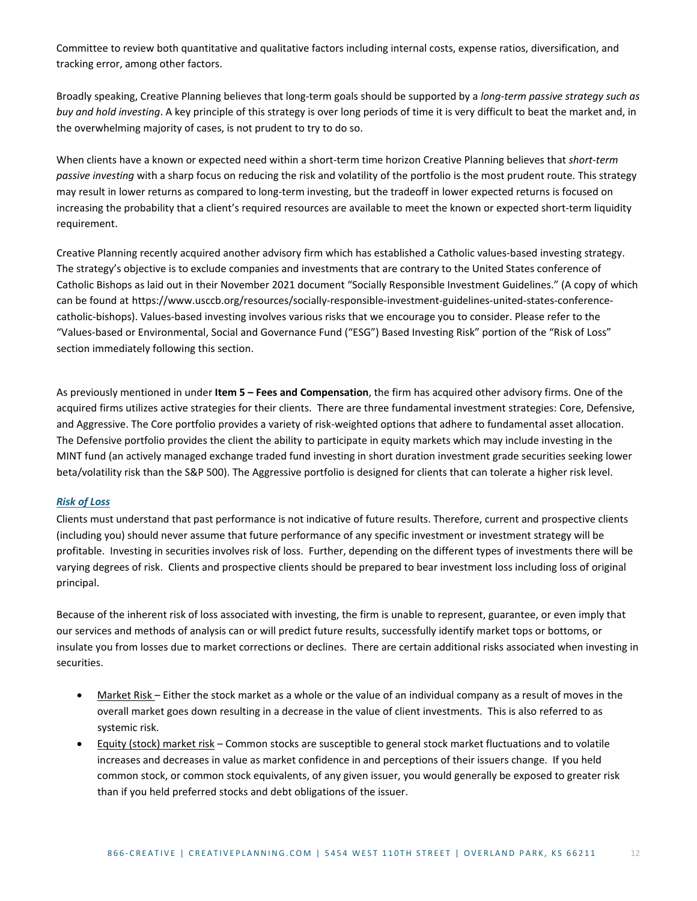Committee to review both quantitative and qualitative factors including internal costs, expense ratios, diversification, and tracking error, among other factors.

Broadly speaking, Creative Planning believes that long-term goals should be supported by a *long-term passive strategy such as buy and hold investing*. A key principle of this strategy is over long periods of time it is very difficult to beat the market and, in the overwhelming majority of cases, is not prudent to try to do so.

When clients have a known or expected need within a short-term time horizon Creative Planning believes that *short-term passive investing* with a sharp focus on reducing the risk and volatility of the portfolio is the most prudent route. This strategy may result in lower returns as compared to long-term investing, but the tradeoff in lower expected returns is focused on increasing the probability that a client's required resources are available to meet the known or expected short-term liquidity requirement.

Creative Planning recently acquired another advisory firm which has established a Catholic values-based investing strategy. The strategy's objective is to exclude companies and investments that are contrary to the United States conference of Catholic Bishops as laid out in their November 2021 document "Socially Responsible Investment Guidelines." (A copy of which can be found at [https://www.usccb.org/resources/socially-responsible-investment-guidelines-united-states-conference](https://www.usccb.org/resources/socially-responsible-investment-guidelines-united-states-conference-catholic-bishops)[catholic-bishops\)](https://www.usccb.org/resources/socially-responsible-investment-guidelines-united-states-conference-catholic-bishops). Values-based investing involves various risks that we encourage you to consider. Please refer to the "Values-based or Environmental, Social and Governance Fund ("ESG") Based Investing Risk" portion of the "Risk of Loss" section immediately following this section.

As previously mentioned in under **Item 5 – Fees and Compensation**, the firm has acquired other advisory firms. One of the acquired firms utilizes active strategies for their clients. There are three fundamental investment strategies: Core, Defensive, and Aggressive. The Core portfolio provides a variety of risk-weighted options that adhere to fundamental asset allocation. The Defensive portfolio provides the client the ability to participate in equity markets which may include investing in the MINT fund (an actively managed exchange traded fund investing in short duration investment grade securities seeking lower beta/volatility risk than the S&P 500). The Aggressive portfolio is designed for clients that can tolerate a higher risk level.

#### <span id="page-11-0"></span>*Risk of Loss*

Clients must understand that past performance is not indicative of future results. Therefore, current and prospective clients (including you) should never assume that future performance of any specific investment or investment strategy will be profitable. Investing in securities involves risk of loss. Further, depending on the different types of investments there will be varying degrees of risk. Clients and prospective clients should be prepared to bear investment loss including loss of original principal.

Because of the inherent risk of loss associated with investing, the firm is unable to represent, guarantee, or even imply that our services and methods of analysis can or will predict future results, successfully identify market tops or bottoms, or insulate you from losses due to market corrections or declines. There are certain additional risks associated when investing in securities.

- Market Risk Either the stock market as a whole or the value of an individual company as a result of moves in the overall market goes down resulting in a decrease in the value of client investments. This is also referred to as systemic risk.
- Equity (stock) market risk Common stocks are susceptible to general stock market fluctuations and to volatile increases and decreases in value as market confidence in and perceptions of their issuers change. If you held common stock, or common stock equivalents, of any given issuer, you would generally be exposed to greater risk than if you held preferred stocks and debt obligations of the issuer.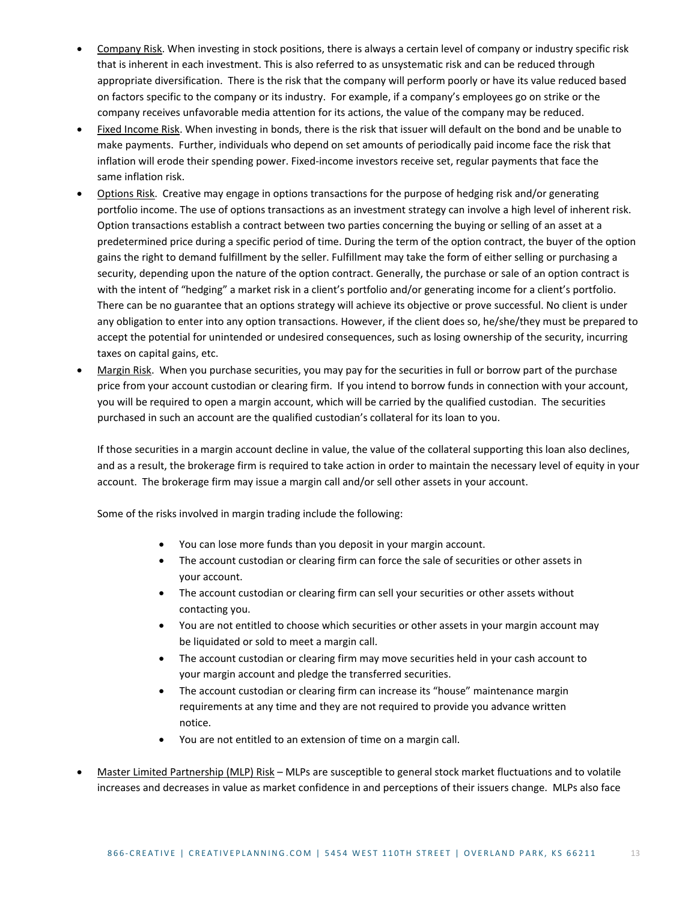- Company Risk. When investing in stock positions, there is always a certain level of company or industry specific risk that is inherent in each investment. This is also referred to as unsystematic risk and can be reduced through appropriate diversification. There is the risk that the company will perform poorly or have its value reduced based on factors specific to the company or its industry. For example, if a company's employees go on strike or the company receives unfavorable media attention for its actions, the value of the company may be reduced.
- Fixed Income Risk. When investing in bonds, there is the risk that issuer will default on the bond and be unable to make payments. Further, individuals who depend on set amounts of periodically paid income face the [risk](http://www.investopedia.com/terms/f/fixedincome.asp) that inflation will erode their spending power. Fixed-income investors receive set, regular payments that face the same inflation risk.
- Options Risk. Creative may engage in options transactions for the purpose of hedging risk and/or generating portfolio income. The use of options transactions as an investment strategy can involve a high level of inherent risk. Option transactions establish a contract between two parties concerning the buying or selling of an asset at a predetermined price during a specific period of time. During the term of the option contract, the buyer of the option gains the right to demand fulfillment by the seller. Fulfillment may take the form of either selling or purchasing a security, depending upon the nature of the option contract. Generally, the purchase or sale of an option contract is with the intent of "hedging" a market risk in a client's portfolio and/or generating income for a client's portfolio. There can be no guarantee that an options strategy will achieve its objective or prove successful. No client is under any obligation to enter into any option transactions. However, if the client does so, he/she/they must be prepared to accept the potential for unintended or undesired consequences, such as losing ownership of the security, incurring taxes on capital gains, etc.
- Margin Risk. When you purchase securities, you may pay for the securities in full or borrow part of the purchase price from your account custodian or clearing firm. If you intend to borrow funds in connection with your account, you will be required to open a margin account, which will be carried by the qualified custodian. The securities purchased in such an account are the qualified custodian's collateral for its loan to you.

If those securities in a margin account decline in value, the value of the collateral supporting this loan also declines, and as a result, the brokerage firm is required to take action in order to maintain the necessary level of equity in your account. The brokerage firm may issue a margin call and/or sell other assets in your account.

Some of the risks involved in margin trading include the following:

- You can lose more funds than you deposit in your margin account.
- The account custodian or clearing firm can force the sale of securities or other assets in your account.
- The account custodian or clearing firm can sell your securities or other assets without contacting you.
- You are not entitled to choose which securities or other assets in your margin account may be liquidated or sold to meet a margin call.
- The account custodian or clearing firm may move securities held in your cash account to your margin account and pledge the transferred securities.
- The account custodian or clearing firm can increase its "house" maintenance margin requirements at any time and they are not required to provide you advance written notice.
- You are not entitled to an extension of time on a margin call.
- Master Limited Partnership (MLP) Risk MLPs are susceptible to general stock market fluctuations and to volatile increases and decreases in value as market confidence in and perceptions of their issuers change. MLPs also face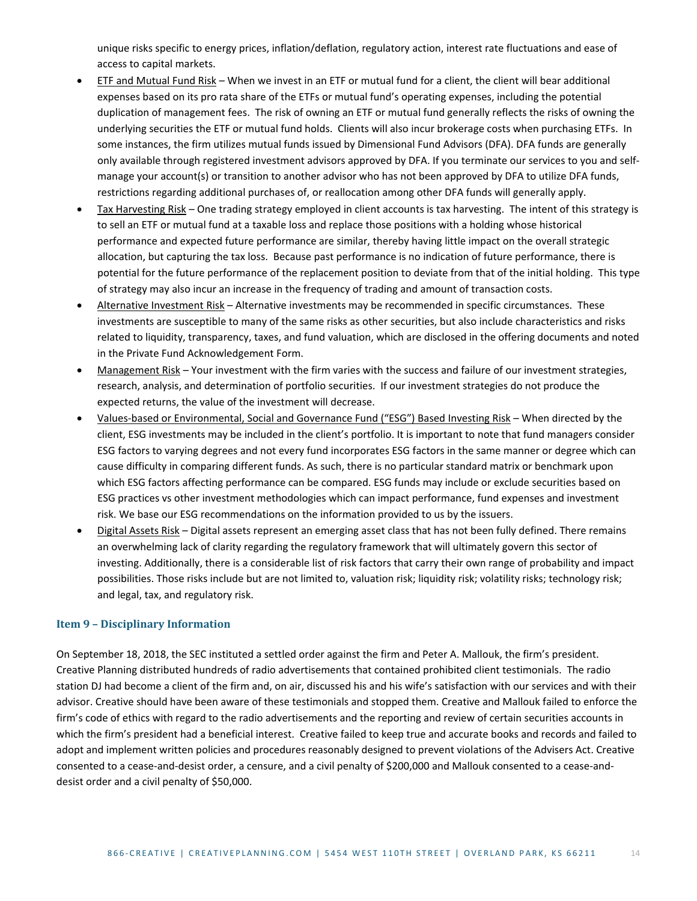unique risks specific to energy prices, inflation/deflation, regulatory action, interest rate fluctuations and ease of access to capital markets.

- ETF and Mutual Fund Risk When we invest in an ETF or mutual fund for a client, the client will bear additional expenses based on its pro rata share of the ETFs or mutual fund's operating expenses, including the potential duplication of management fees. The risk of owning an ETF or mutual fund generally reflects the risks of owning the underlying securities the ETF or mutual fund holds. Clients will also incur brokerage costs when purchasing ETFs. In some instances, the firm utilizes mutual funds issued by Dimensional Fund Advisors (DFA). DFA funds are generally only available through registered investment advisors approved by DFA. If you terminate our services to you and selfmanage your account(s) or transition to another advisor who has not been approved by DFA to utilize DFA funds, restrictions regarding additional purchases of, or reallocation among other DFA funds will generally apply.
- Tax Harvesting Risk One trading strategy employed in client accounts is tax harvesting. The intent of this strategy is to sell an ETF or mutual fund at a taxable loss and replace those positions with a holding whose historical performance and expected future performance are similar, thereby having little impact on the overall strategic allocation, but capturing the tax loss. Because past performance is no indication of future performance, there is potential for the future performance of the replacement position to deviate from that of the initial holding. This type of strategy may also incur an increase in the frequency of trading and amount of transaction costs.
- Alternative Investment Risk Alternative investments may be recommended in specific circumstances. These investments are susceptible to many of the same risks as other securities, but also include characteristics and risks related to liquidity, transparency, taxes, and fund valuation, which are disclosed in the offering documents and noted in the Private Fund Acknowledgement Form.
- Management Risk Your investment with the firm varies with the success and failure of our investment strategies, research, analysis, and determination of portfolio securities. If our investment strategies do not produce the expected returns, the value of the investment will decrease.
- Values-based or Environmental, Social and Governance Fund ("ESG") Based Investing Risk When directed by the client, ESG investments may be included in the client's portfolio. It is important to note that fund managers consider ESG factors to varying degrees and not every fund incorporates ESG factors in the same manner or degree which can cause difficulty in comparing different funds. As such, there is no particular standard matrix or benchmark upon which ESG factors affecting performance can be compared. ESG funds may include or exclude securities based on ESG practices vs other investment methodologies which can impact performance, fund expenses and investment risk. We base our ESG recommendations on the information provided to us by the issuers.
- Digital Assets Risk Digital assets represent an emerging asset class that has not been fully defined. There remains an overwhelming lack of clarity regarding the regulatory framework that will ultimately govern this sector of investing. Additionally, there is a considerable list of risk factors that carry their own range of probability and impact possibilities. Those risks include but are not limited to, valuation risk; liquidity risk; volatility risks; technology risk; and legal, tax, and regulatory risk.

#### <span id="page-13-0"></span>**Item 9 – Disciplinary Information**

On September 18, 2018, the SEC instituted a settled order against the firm and Peter A. Mallouk, the firm's president. Creative Planning distributed hundreds of radio advertisements that contained prohibited client testimonials. The radio station DJ had become a client of the firm and, on air, discussed his and his wife's satisfaction with our services and with their advisor. Creative should have been aware of these testimonials and stopped them. Creative and Mallouk failed to enforce the firm's code of ethics with regard to the radio advertisements and the reporting and review of certain securities accounts in which the firm's president had a beneficial interest. Creative failed to keep true and accurate books and records and failed to adopt and implement written policies and procedures reasonably designed to prevent violations of the Advisers Act. Creative consented to a cease-and-desist order, a censure, and a civil penalty of \$200,000 and Mallouk consented to a cease-anddesist order and a civil penalty of \$50,000.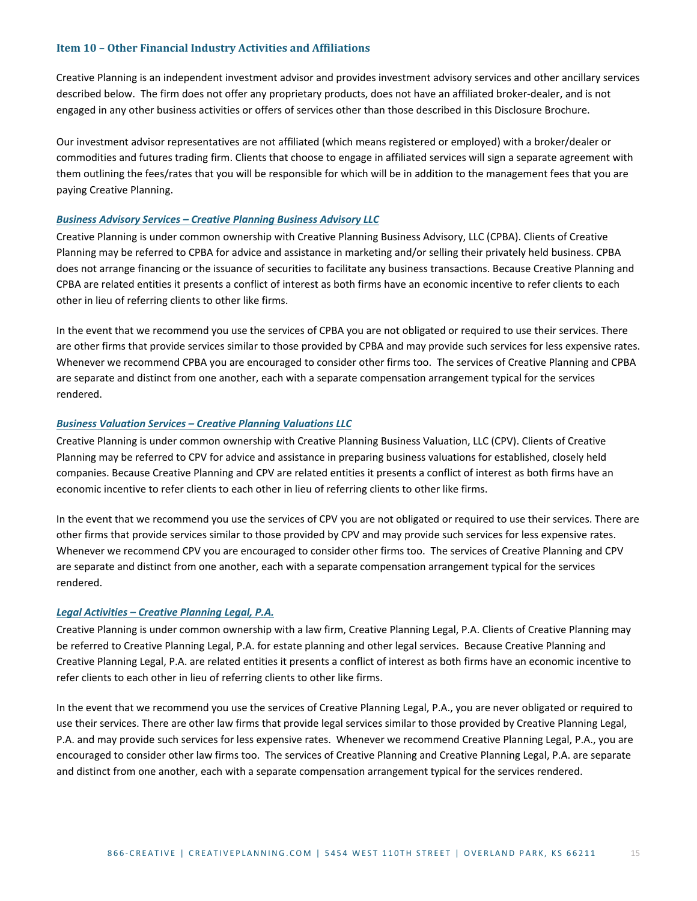#### <span id="page-14-0"></span>**Item 10 – Other Financial Industry Activities and Affiliations**

Creative Planning is an independent investment advisor and provides investment advisory services and other ancillary services described below. The firm does not offer any proprietary products, does not have an affiliated broker-dealer, and is not engaged in any other business activities or offers of services other than those described in this Disclosure Brochure.

Our investment advisor representatives are not affiliated (which means registered or employed) with a broker/dealer or commodities and futures trading firm. Clients that choose to engage in affiliated services will sign a separate agreement with them outlining the fees/rates that you will be responsible for which will be in addition to the management fees that you are paying Creative Planning.

#### <span id="page-14-1"></span>*Business Advisory Services – Creative Planning Business Advisory LLC*

Creative Planning is under common ownership with Creative Planning Business Advisory, LLC (CPBA). Clients of Creative Planning may be referred to CPBA for advice and assistance in marketing and/or selling their privately held business. CPBA does not arrange financing or the issuance of securities to facilitate any business transactions. Because Creative Planning and CPBA are related entities it presents a conflict of interest as both firms have an economic incentive to refer clients to each other in lieu of referring clients to other like firms.

In the event that we recommend you use the services of CPBA you are not obligated or required to use their services. There are other firms that provide services similar to those provided by CPBA and may provide such services for less expensive rates. Whenever we recommend CPBA you are encouraged to consider other firms too. The services of Creative Planning and CPBA are separate and distinct from one another, each with a separate compensation arrangement typical for the services rendered.

#### <span id="page-14-2"></span>*Business Valuation Services – Creative Planning Valuations LLC*

Creative Planning is under common ownership with Creative Planning Business Valuation, LLC (CPV). Clients of Creative Planning may be referred to CPV for advice and assistance in preparing business valuations for established, closely held companies. Because Creative Planning and CPV are related entities it presents a conflict of interest as both firms have an economic incentive to refer clients to each other in lieu of referring clients to other like firms.

In the event that we recommend you use the services of CPV you are not obligated or required to use their services. There are other firms that provide services similar to those provided by CPV and may provide such services for less expensive rates. Whenever we recommend CPV you are encouraged to consider other firms too. The services of Creative Planning and CPV are separate and distinct from one another, each with a separate compensation arrangement typical for the services rendered.

#### <span id="page-14-3"></span>*Legal Activities – Creative Planning Legal, P.A.*

Creative Planning is under common ownership with a law firm, Creative Planning Legal, P.A. Clients of Creative Planning may be referred to Creative Planning Legal, P.A. for estate planning and other legal services. Because Creative Planning and Creative Planning Legal, P.A. are related entities it presents a conflict of interest as both firms have an economic incentive to refer clients to each other in lieu of referring clients to other like firms.

In the event that we recommend you use the services of Creative Planning Legal, P.A., you are never obligated or required to use their services. There are other law firms that provide legal services similar to those provided by Creative Planning Legal, P.A. and may provide such services for less expensive rates. Whenever we recommend Creative Planning Legal, P.A., you are encouraged to consider other law firms too. The services of Creative Planning and Creative Planning Legal, P.A. are separate and distinct from one another, each with a separate compensation arrangement typical for the services rendered.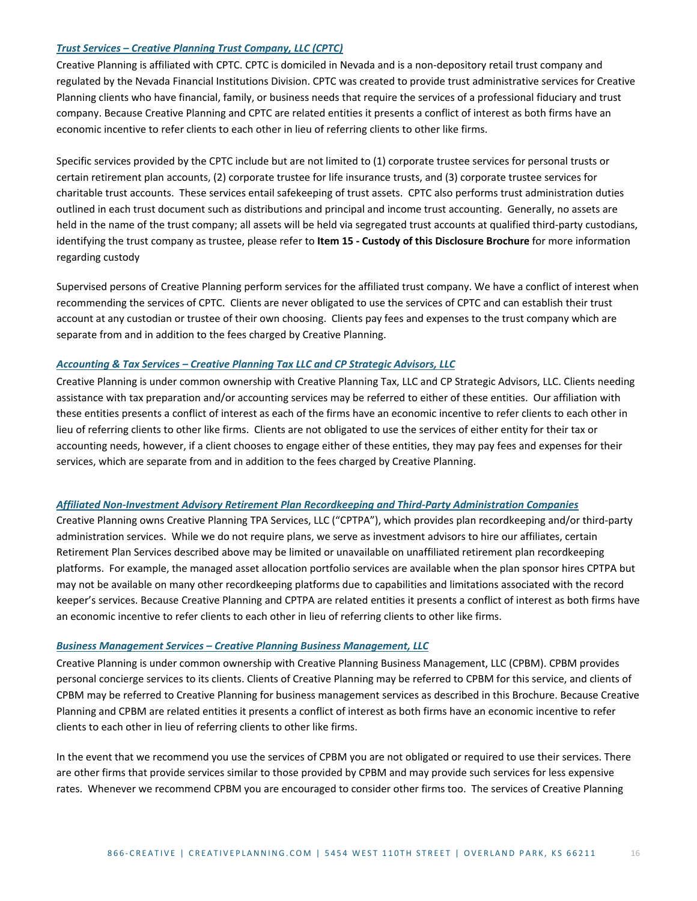#### <span id="page-15-0"></span>*Trust Services – Creative Planning Trust Company, LLC (CPTC)*

Creative Planning is affiliated with CPTC. CPTC is domiciled in Nevada and is a non-depository retail trust company and regulated by the Nevada Financial Institutions Division. CPTC was created to provide trust administrative services for Creative Planning clients who have financial, family, or business needs that require the services of a professional fiduciary and trust company. Because Creative Planning and CPTC are related entities it presents a conflict of interest as both firms have an economic incentive to refer clients to each other in lieu of referring clients to other like firms.

Specific services provided by the CPTC include but are not limited to (1) corporate trustee services for personal trusts or certain retirement plan accounts, (2) corporate trustee for life insurance trusts, and (3) corporate trustee services for charitable trust accounts. These services entail safekeeping of trust assets. CPTC also performs trust administration duties outlined in each trust document such as distributions and principal and income trust accounting. Generally, no assets are held in the name of the trust company; all assets will be held via segregated trust accounts at qualified third-party custodians, identifying the trust company as trustee, please refer to **Item 15 - Custody of this Disclosure Brochure** for more information regarding custody

Supervised persons of Creative Planning perform services for the affiliated trust company. We have a conflict of interest when recommending the services of CPTC. Clients are never obligated to use the services of CPTC and can establish their trust account at any custodian or trustee of their own choosing. Clients pay fees and expenses to the trust company which are separate from and in addition to the fees charged by Creative Planning.

#### <span id="page-15-1"></span>*Accounting & Tax Services – Creative Planning Tax LLC and CP Strategic Advisors, LLC*

Creative Planning is under common ownership with Creative Planning Tax, LLC and CP Strategic Advisors, LLC. Clients needing assistance with tax preparation and/or accounting services may be referred to either of these entities. Our affiliation with these entities presents a conflict of interest as each of the firms have an economic incentive to refer clients to each other in lieu of referring clients to other like firms. Clients are not obligated to use the services of either entity for their tax or accounting needs, however, if a client chooses to engage either of these entities, they may pay fees and expenses for their services, which are separate from and in addition to the fees charged by Creative Planning.

#### *Affiliated Non-Investment Advisory Retirement Plan Recordkeeping and Third-Party Administration Companies*

Creative Planning owns Creative Planning TPA Services, LLC ("CPTPA"), which provides plan recordkeeping and/or third-party administration services. While we do not require plans, we serve as investment advisors to hire our affiliates, certain Retirement Plan Services described above may be limited or unavailable on unaffiliated retirement plan recordkeeping platforms. For example, the managed asset allocation portfolio services are available when the plan sponsor hires CPTPA but may not be available on many other recordkeeping platforms due to capabilities and limitations associated with the record keeper's services. Because Creative Planning and CPTPA are related entities it presents a conflict of interest as both firms have an economic incentive to refer clients to each other in lieu of referring clients to other like firms.

#### <span id="page-15-2"></span>*Business Management Services – Creative Planning Business Management, LLC*

Creative Planning is under common ownership with Creative Planning Business Management, LLC (CPBM). CPBM provides personal concierge services to its clients. Clients of Creative Planning may be referred to CPBM for this service, and clients of CPBM may be referred to Creative Planning for business management services as described in this Brochure. Because Creative Planning and CPBM are related entities it presents a conflict of interest as both firms have an economic incentive to refer clients to each other in lieu of referring clients to other like firms.

In the event that we recommend you use the services of CPBM you are not obligated or required to use their services. There are other firms that provide services similar to those provided by CPBM and may provide such services for less expensive rates. Whenever we recommend CPBM you are encouraged to consider other firms too. The services of Creative Planning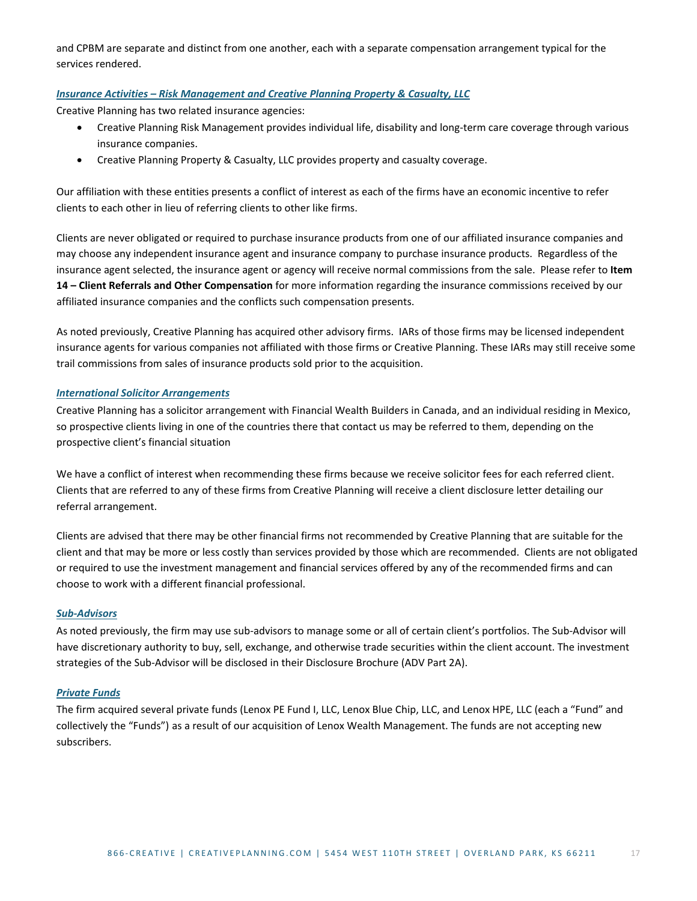and CPBM are separate and distinct from one another, each with a separate compensation arrangement typical for the services rendered.

#### <span id="page-16-0"></span>*Insurance Activities – Risk Management and Creative Planning Property & Casualty, LLC*

Creative Planning has two related insurance agencies:

- Creative Planning Risk Management provides individual life, disability and long-term care coverage through various insurance companies.
- Creative Planning Property & Casualty, LLC provides property and casualty coverage.

Our affiliation with these entities presents a conflict of interest as each of the firms have an economic incentive to refer clients to each other in lieu of referring clients to other like firms.

Clients are never obligated or required to purchase insurance products from one of our affiliated insurance companies and may choose any independent insurance agent and insurance company to purchase insurance products. Regardless of the insurance agent selected, the insurance agent or agency will receive normal commissions from the sale. Please refer to **[Item](#page-24-0)  14 – [Client Referrals and Other Compensation](#page-24-0)** for more information regarding the insurance commissions received by our affiliated insurance companies and the conflicts such compensation presents.

As noted previously, Creative Planning has acquired other advisory firms. IARs of those firms may be licensed independent insurance agents for various companies not affiliated with those firms or Creative Planning. These IARs may still receive some trail commissions from sales of insurance products sold prior to the acquisition.

#### <span id="page-16-1"></span>*International Solicitor Arrangements*

Creative Planning has a solicitor arrangement with Financial Wealth Builders in Canada, and an individual residing in Mexico, so prospective clients living in one of the countries there that contact us may be referred to them, depending on the prospective client's financial situation

We have a conflict of interest when recommending these firms because we receive solicitor fees for each referred client. Clients that are referred to any of these firms from Creative Planning will receive a client disclosure letter detailing our referral arrangement.

Clients are advised that there may be other financial firms not recommended by Creative Planning that are suitable for the client and that may be more or less costly than services provided by those which are recommended. Clients are not obligated or required to use the investment management and financial services offered by any of the recommended firms and can choose to work with a different financial professional.

#### <span id="page-16-2"></span>*Sub-Advisors*

As noted previously, the firm may use sub-advisors to manage some or all of certain client's portfolios. The Sub-Advisor will have discretionary authority to buy, sell, exchange, and otherwise trade securities within the client account. The investment strategies of the Sub-Advisor will be disclosed in their Disclosure Brochure (ADV Part 2A).

#### <span id="page-16-3"></span>*Private Funds*

The firm acquired several private funds (Lenox PE Fund I, LLC, Lenox Blue Chip, LLC, and Lenox HPE, LLC (each a "Fund" and collectively the "Funds") as a result of our acquisition of Lenox Wealth Management. The funds are not accepting new subscribers.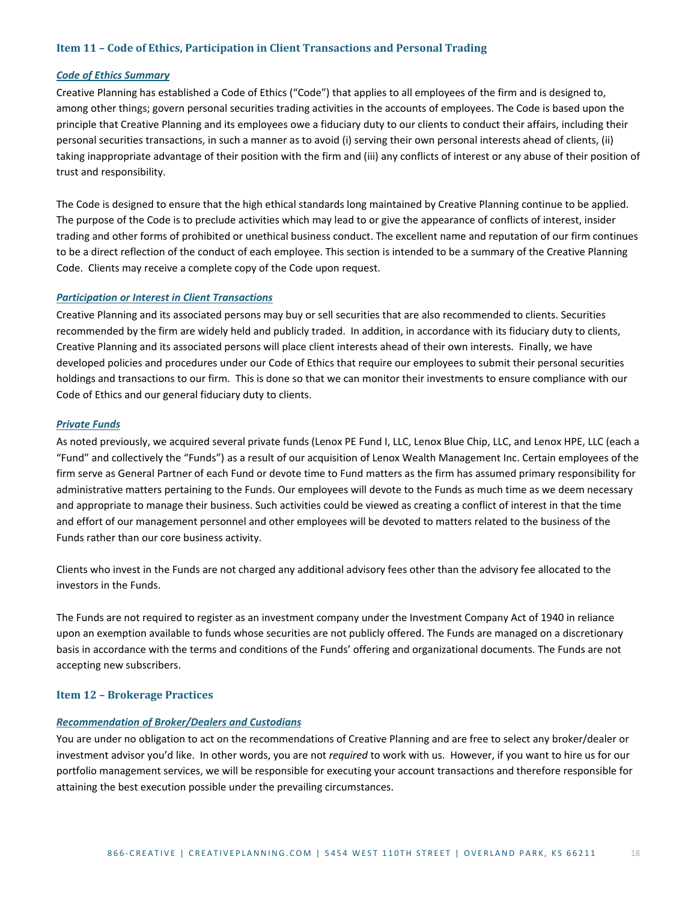#### <span id="page-17-0"></span>**Item 11 – Code of Ethics, Participation in Client Transactions and Personal Trading**

#### <span id="page-17-1"></span>*Code of Ethics Summary*

Creative Planning has established a Code of Ethics ("Code") that applies to all employees of the firm and is designed to, among other things; govern personal securities trading activities in the accounts of employees. The Code is based upon the principle that Creative Planning and its employees owe a fiduciary duty to our clients to conduct their affairs, including their personal securities transactions, in such a manner as to avoid (i) serving their own personal interests ahead of clients, (ii) taking inappropriate advantage of their position with the firm and (iii) any conflicts of interest or any abuse of their position of trust and responsibility.

The Code is designed to ensure that the high ethical standards long maintained by Creative Planning continue to be applied. The purpose of the Code is to preclude activities which may lead to or give the appearance of conflicts of interest, insider trading and other forms of prohibited or unethical business conduct. The excellent name and reputation of our firm continues to be a direct reflection of the conduct of each employee. This section is intended to be a summary of the Creative Planning Code. Clients may receive a complete copy of the Code upon request.

#### <span id="page-17-2"></span>*Participation or Interest in Client Transactions*

Creative Planning and its associated persons may buy or sell securities that are also recommended to clients. Securities recommended by the firm are widely held and publicly traded. In addition, in accordance with its fiduciary duty to clients, Creative Planning and its associated persons will place client interests ahead of their own interests. Finally, we have developed policies and procedures under our Code of Ethics that require our employees to submit their personal securities holdings and transactions to our firm. This is done so that we can monitor their investments to ensure compliance with our Code of Ethics and our general fiduciary duty to clients.

#### <span id="page-17-3"></span>*Private Funds*

As noted previously, we acquired several private funds (Lenox PE Fund I, LLC, Lenox Blue Chip, LLC, and Lenox HPE, LLC (each a "Fund" and collectively the "Funds") as a result of our acquisition of Lenox Wealth Management Inc. Certain employees of the firm serve as General Partner of each Fund or devote time to Fund matters as the firm has assumed primary responsibility for administrative matters pertaining to the Funds. Our employees will devote to the Funds as much time as we deem necessary and appropriate to manage their business. Such activities could be viewed as creating a conflict of interest in that the time and effort of our management personnel and other employees will be devoted to matters related to the business of the Funds rather than our core business activity.

Clients who invest in the Funds are not charged any additional advisory fees other than the advisory fee allocated to the investors in the Funds.

The Funds are not required to register as an investment company under the Investment Company Act of 1940 in reliance upon an exemption available to funds whose securities are not publicly offered. The Funds are managed on a discretionary basis in accordance with the terms and conditions of the Funds' offering and organizational documents. The Funds are not accepting new subscribers.

#### <span id="page-17-4"></span>**Item 12 – Brokerage Practices**

#### <span id="page-17-5"></span>*Recommendation of Broker/Dealers and Custodians*

You are under no obligation to act on the recommendations of Creative Planning and are free to select any broker/dealer or investment advisor you'd like. In other words, you are not *required* to work with us. However, if you want to hire us for our portfolio management services, we will be responsible for executing your account transactions and therefore responsible for attaining the best execution possible under the prevailing circumstances.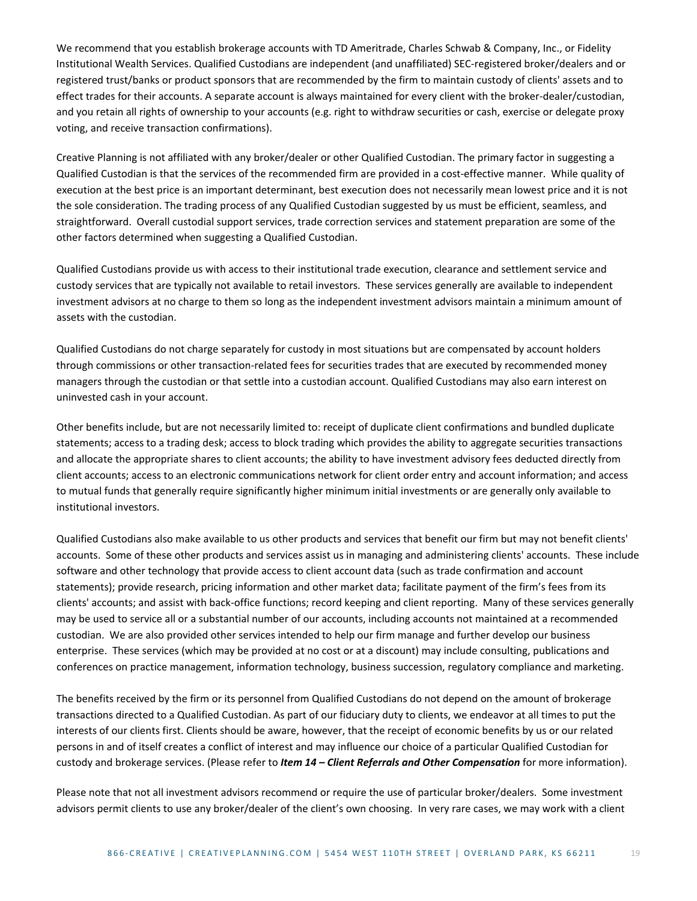We recommend that you establish brokerage accounts with TD Ameritrade, Charles Schwab & Company, Inc., or Fidelity Institutional Wealth Services. Qualified Custodians are independent (and unaffiliated) SEC-registered broker/dealers and or registered trust/banks or product sponsors that are recommended by the firm to maintain custody of clients' assets and to effect trades for their accounts. A separate account is always maintained for every client with the broker-dealer/custodian, and you retain all rights of ownership to your accounts (e.g. right to withdraw securities or cash, exercise or delegate proxy voting, and receive transaction confirmations).

Creative Planning is not affiliated with any broker/dealer or other Qualified Custodian. The primary factor in suggesting a Qualified Custodian is that the services of the recommended firm are provided in a cost-effective manner. While quality of execution at the best price is an important determinant, best execution does not necessarily mean lowest price and it is not the sole consideration. The trading process of any Qualified Custodian suggested by us must be efficient, seamless, and straightforward. Overall custodial support services, trade correction services and statement preparation are some of the other factors determined when suggesting a Qualified Custodian.

Qualified Custodians provide us with access to their institutional trade execution, clearance and settlement service and custody services that are typically not available to retail investors. These services generally are available to independent investment advisors at no charge to them so long as the independent investment advisors maintain a minimum amount of assets with the custodian.

Qualified Custodians do not charge separately for custody in most situations but are compensated by account holders through commissions or other transaction-related fees for securities trades that are executed by recommended money managers through the custodian or that settle into a custodian account. Qualified Custodians may also earn interest on uninvested cash in your account.

Other benefits include, but are not necessarily limited to: receipt of duplicate client confirmations and bundled duplicate statements; access to a trading desk; access to block trading which provides the ability to aggregate securities transactions and allocate the appropriate shares to client accounts; the ability to have investment advisory fees deducted directly from client accounts; access to an electronic communications network for client order entry and account information; and access to mutual funds that generally require significantly higher minimum initial investments or are generally only available to institutional investors.

Qualified Custodians also make available to us other products and services that benefit our firm but may not benefit clients' accounts. Some of these other products and services assist us in managing and administering clients' accounts. These include software and other technology that provide access to client account data (such as trade confirmation and account statements); provide research, pricing information and other market data; facilitate payment of the firm's fees from its clients' accounts; and assist with back-office functions; record keeping and client reporting. Many of these services generally may be used to service all or a substantial number of our accounts, including accounts not maintained at a recommended custodian. We are also provided other services intended to help our firm manage and further develop our business enterprise. These services (which may be provided at no cost or at a discount) may include consulting, publications and conferences on practice management, information technology, business succession, regulatory compliance and marketing.

The benefits received by the firm or its personnel from Qualified Custodians do not depend on the amount of brokerage transactions directed to a Qualified Custodian. As part of our fiduciary duty to clients, we endeavor at all times to put the interests of our clients first. Clients should be aware, however, that the receipt of economic benefits by us or our related persons in and of itself creates a conflict of interest and may influence our choice of a particular Qualified Custodian for custody and brokerage services. (Please refer to *Item 14 – Client Referrals and Other Compensation* for more information).

Please note that not all investment advisors recommend or require the use of particular broker/dealers. Some investment advisors permit clients to use any broker/dealer of the client's own choosing. In very rare cases, we may work with a client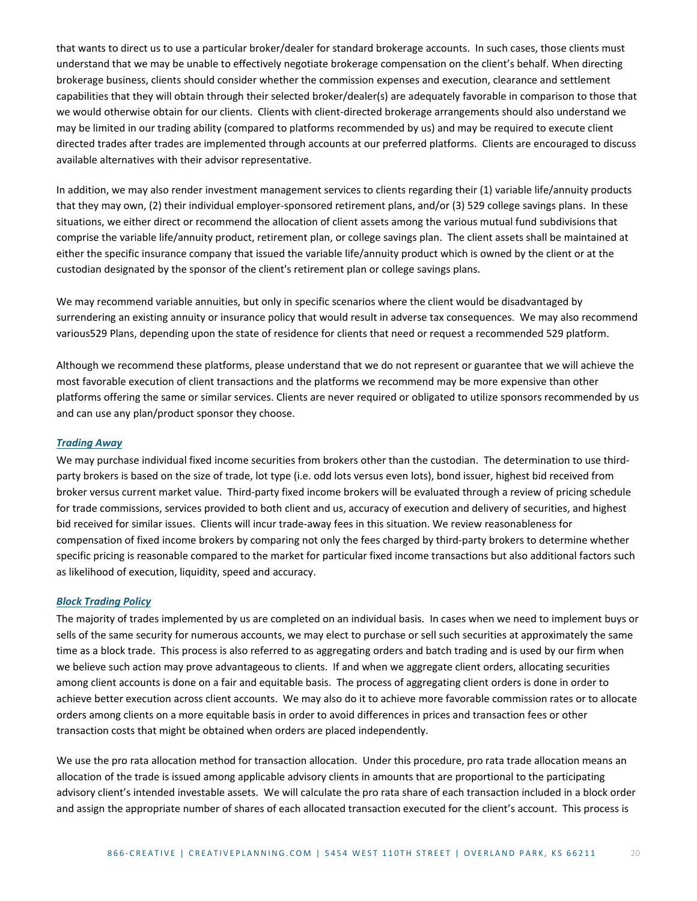that wants to direct us to use a particular broker/dealer for standard brokerage accounts. In such cases, those clients must understand that we may be unable to effectively negotiate brokerage compensation on the client's behalf. When directing brokerage business, clients should consider whether the commission expenses and execution, clearance and settlement capabilities that they will obtain through their selected broker/dealer(s) are adequately favorable in comparison to those that we would otherwise obtain for our clients. Clients with client-directed brokerage arrangements should also understand we may be limited in our trading ability (compared to platforms recommended by us) and may be required to execute client directed trades after trades are implemented through accounts at our preferred platforms. Clients are encouraged to discuss available alternatives with their advisor representative.

In addition, we may also render investment management services to clients regarding their (1) variable life/annuity products that they may own, (2) their individual employer-sponsored retirement plans, and/or (3) 529 college savings plans. In these situations, we either direct or recommend the allocation of client assets among the various mutual fund subdivisions that comprise the variable life/annuity product, retirement plan, or college savings plan. The client assets shall be maintained at either the specific insurance company that issued the variable life/annuity product which is owned by the client or at the custodian designated by the sponsor of the client's retirement plan or college savings plans.

We may recommend variable annuities, but only in specific scenarios where the client would be disadvantaged by surrendering an existing annuity or insurance policy that would result in adverse tax consequences. We may also recommend various529 Plans, depending upon the state of residence for clients that need or request a recommended 529 platform.

Although we recommend these platforms, please understand that we do not represent or guarantee that we will achieve the most favorable execution of client transactions and the platforms we recommend may be more expensive than other platforms offering the same or similar services. Clients are never required or obligated to utilize sponsors recommended by us and can use any plan/product sponsor they choose.

#### <span id="page-19-0"></span>*Trading Away*

We may purchase individual fixed income securities from brokers other than the custodian. The determination to use thirdparty brokers is based on the size of trade, lot type (i.e. odd lots versus even lots), bond issuer, highest bid received from broker versus current market value. Third-party fixed income brokers will be evaluated through a review of pricing schedule for trade commissions, services provided to both client and us, accuracy of execution and delivery of securities, and highest bid received for similar issues. Clients will incur trade-away fees in this situation. We review reasonableness for compensation of fixed income brokers by comparing not only the fees charged by third-party brokers to determine whether specific pricing is reasonable compared to the market for particular fixed income transactions but also additional factors such as likelihood of execution, liquidity, speed and accuracy.

#### <span id="page-19-1"></span>*Block Trading Policy*

The majority of trades implemented by us are completed on an individual basis. In cases when we need to implement buys or sells of the same security for numerous accounts, we may elect to purchase or sell such securities at approximately the same time as a block trade. This process is also referred to as aggregating orders and batch trading and is used by our firm when we believe such action may prove advantageous to clients. If and when we aggregate client orders, allocating securities among client accounts is done on a fair and equitable basis. The process of aggregating client orders is done in order to achieve better execution across client accounts. We may also do it to achieve more favorable commission rates or to allocate orders among clients on a more equitable basis in order to avoid differences in prices and transaction fees or other transaction costs that might be obtained when orders are placed independently.

We use the pro rata allocation method for transaction allocation. Under this procedure, pro rata trade allocation means an allocation of the trade is issued among applicable advisory clients in amounts that are proportional to the participating advisory client's intended investable assets. We will calculate the pro rata share of each transaction included in a block order and assign the appropriate number of shares of each allocated transaction executed for the client's account. This process is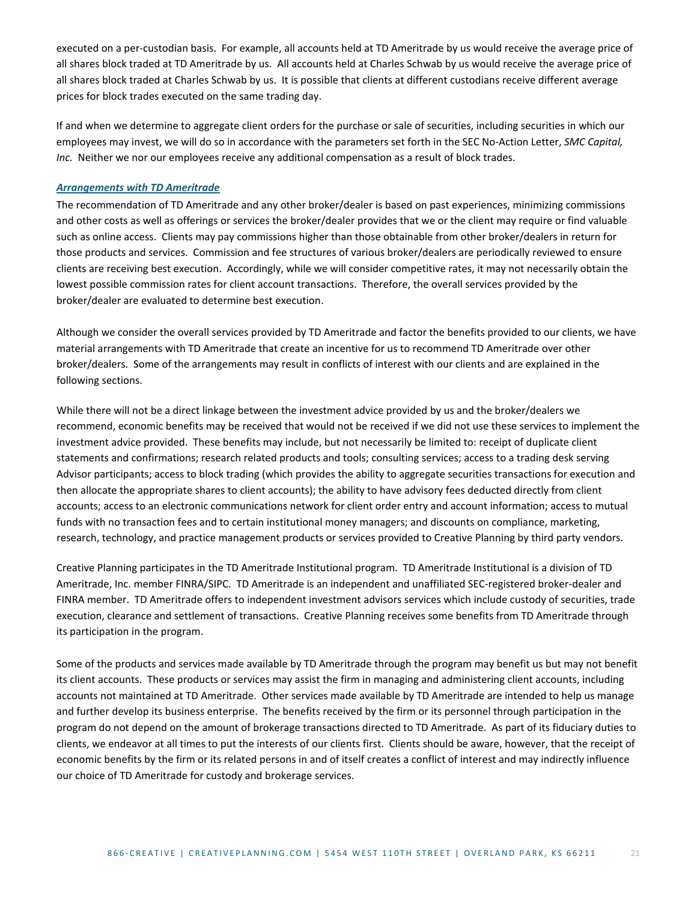executed on a per-custodian basis. For example, all accounts held at TD Ameritrade by us would receive the average price of all shares block traded at TD Ameritrade by us. All accounts held at Charles Schwab by us would receive the average price of all shares block traded at Charles Schwab by us. It is possible that clients at different custodians receive different average prices for block trades executed on the same trading day.

If and when we determine to aggregate client orders for the purchase or sale of securities, including securities in which our employees may invest, we will do so in accordance with the parameters set forth in the SEC No-Action Letter, *SMC Capital, Inc.* Neither we nor our employees receive any additional compensation as a result of block trades.

#### <span id="page-20-0"></span>*Arrangements with TD Ameritrade*

The recommendation of TD Ameritrade and any other broker/dealer is based on past experiences, minimizing commissions and other costs as well as offerings or services the broker/dealer provides that we or the client may require or find valuable such as online access. Clients may pay commissions higher than those obtainable from other broker/dealers in return for those products and services. Commission and fee structures of various broker/dealers are periodically reviewed to ensure clients are receiving best execution. Accordingly, while we will consider competitive rates, it may not necessarily obtain the lowest possible commission rates for client account transactions. Therefore, the overall services provided by the broker/dealer are evaluated to determine best execution.

Although we consider the overall services provided by TD Ameritrade and factor the benefits provided to our clients, we have material arrangements with TD Ameritrade that create an incentive for us to recommend TD Ameritrade over other broker/dealers. Some of the arrangements may result in conflicts of interest with our clients and are explained in the following sections.

While there will not be a direct linkage between the investment advice provided by us and the broker/dealers we recommend, economic benefits may be received that would not be received if we did not use these services to implement the investment advice provided. These benefits may include, but not necessarily be limited to: receipt of duplicate client statements and confirmations; research related products and tools; consulting services; access to a trading desk serving Advisor participants; access to block trading (which provides the ability to aggregate securities transactions for execution and then allocate the appropriate shares to client accounts); the ability to have advisory fees deducted directly from client accounts; access to an electronic communications network for client order entry and account information; access to mutual funds with no transaction fees and to certain institutional money managers; and discounts on compliance, marketing, research, technology, and practice management products or services provided to Creative Planning by third party vendors.

Creative Planning participates in the TD Ameritrade Institutional program. TD Ameritrade Institutional is a division of TD Ameritrade, Inc. member FINRA/SIPC. TD Ameritrade is an independent and unaffiliated SEC-registered broker-dealer and FINRA member. TD Ameritrade offers to independent investment advisors services which include custody of securities, trade execution, clearance and settlement of transactions. Creative Planning receives some benefits from TD Ameritrade through its participation in the program.

Some of the products and services made available by TD Ameritrade through the program may benefit us but may not benefit its client accounts. These products or services may assist the firm in managing and administering client accounts, including accounts not maintained at TD Ameritrade. Other services made available by TD Ameritrade are intended to help us manage and further develop its business enterprise. The benefits received by the firm or its personnel through participation in the program do not depend on the amount of brokerage transactions directed to TD Ameritrade. As part of its fiduciary duties to clients, we endeavor at all times to put the interests of our clients first. Clients should be aware, however, that the receipt of economic benefits by the firm or its related persons in and of itself creates a conflict of interest and may indirectly influence our choice of TD Ameritrade for custody and brokerage services.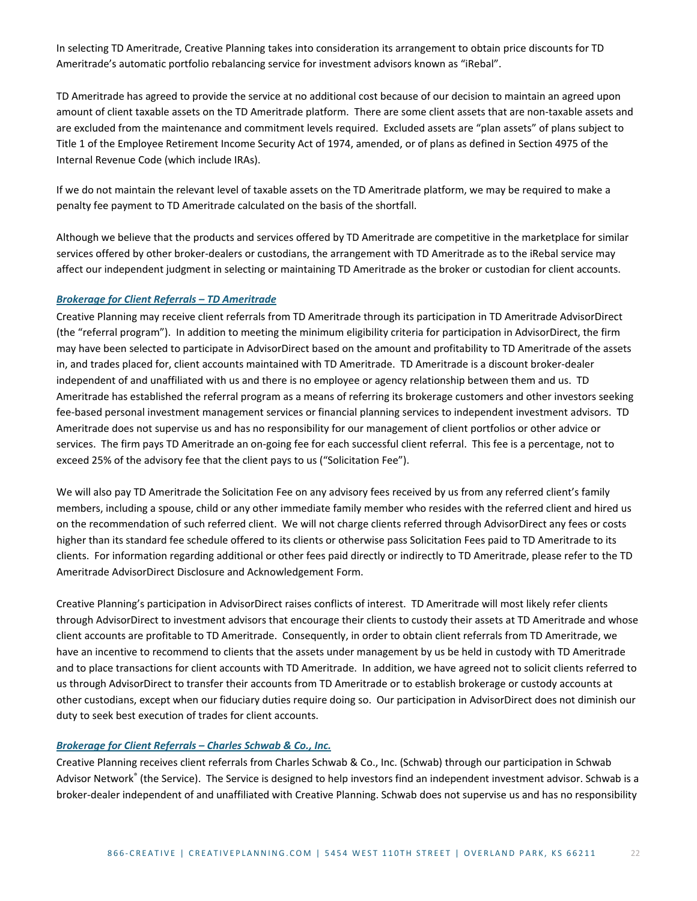In selecting TD Ameritrade, Creative Planning takes into consideration its arrangement to obtain price discounts for TD Ameritrade's automatic portfolio rebalancing service for investment advisors known as "iRebal".

TD Ameritrade has agreed to provide the service at no additional cost because of our decision to maintain an agreed upon amount of client taxable assets on the TD Ameritrade platform. There are some client assets that are non-taxable assets and are excluded from the maintenance and commitment levels required. Excluded assets are "plan assets" of plans subject to Title 1 of the Employee Retirement Income Security Act of 1974, amended, or of plans as defined in Section 4975 of the Internal Revenue Code (which include IRAs).

If we do not maintain the relevant level of taxable assets on the TD Ameritrade platform, we may be required to make a penalty fee payment to TD Ameritrade calculated on the basis of the shortfall.

Although we believe that the products and services offered by TD Ameritrade are competitive in the marketplace for similar services offered by other broker-dealers or custodians, the arrangement with TD Ameritrade as to the iRebal service may affect our independent judgment in selecting or maintaining TD Ameritrade as the broker or custodian for client accounts.

#### <span id="page-21-0"></span>*Brokerage for Client Referrals – TD Ameritrade*

Creative Planning may receive client referrals from TD Ameritrade through its participation in TD Ameritrade AdvisorDirect (the "referral program"). In addition to meeting the minimum eligibility criteria for participation in AdvisorDirect, the firm may have been selected to participate in AdvisorDirect based on the amount and profitability to TD Ameritrade of the assets in, and trades placed for, client accounts maintained with TD Ameritrade. TD Ameritrade is a discount broker-dealer independent of and unaffiliated with us and there is no employee or agency relationship between them and us. TD Ameritrade has established the referral program as a means of referring its brokerage customers and other investors seeking fee-based personal investment management services or financial planning services to independent investment advisors. TD Ameritrade does not supervise us and has no responsibility for our management of client portfolios or other advice or services. The firm pays TD Ameritrade an on-going fee for each successful client referral. This fee is a percentage, not to exceed 25% of the advisory fee that the client pays to us ("Solicitation Fee").

We will also pay TD Ameritrade the Solicitation Fee on any advisory fees received by us from any referred client's family members, including a spouse, child or any other immediate family member who resides with the referred client and hired us on the recommendation of such referred client. We will not charge clients referred through AdvisorDirect any fees or costs higher than its standard fee schedule offered to its clients or otherwise pass Solicitation Fees paid to TD Ameritrade to its clients. For information regarding additional or other fees paid directly or indirectly to TD Ameritrade, please refer to the TD Ameritrade AdvisorDirect Disclosure and Acknowledgement Form.

Creative Planning's participation in AdvisorDirect raises conflicts of interest. TD Ameritrade will most likely refer clients through AdvisorDirect to investment advisors that encourage their clients to custody their assets at TD Ameritrade and whose client accounts are profitable to TD Ameritrade. Consequently, in order to obtain client referrals from TD Ameritrade, we have an incentive to recommend to clients that the assets under management by us be held in custody with TD Ameritrade and to place transactions for client accounts with TD Ameritrade. In addition, we have agreed not to solicit clients referred to us through AdvisorDirect to transfer their accounts from TD Ameritrade or to establish brokerage or custody accounts at other custodians, except when our fiduciary duties require doing so. Our participation in AdvisorDirect does not diminish our duty to seek best execution of trades for client accounts.

#### <span id="page-21-1"></span>*Brokerage for Client Referrals – Charles Schwab & Co., Inc.*

Creative Planning receives client referrals from Charles Schwab & Co., Inc. (Schwab) through our participation in Schwab Advisor Network® (the Service). The Service is designed to help investors find an independent investment advisor. Schwab is a broker-dealer independent of and unaffiliated with Creative Planning. Schwab does not supervise us and has no responsibility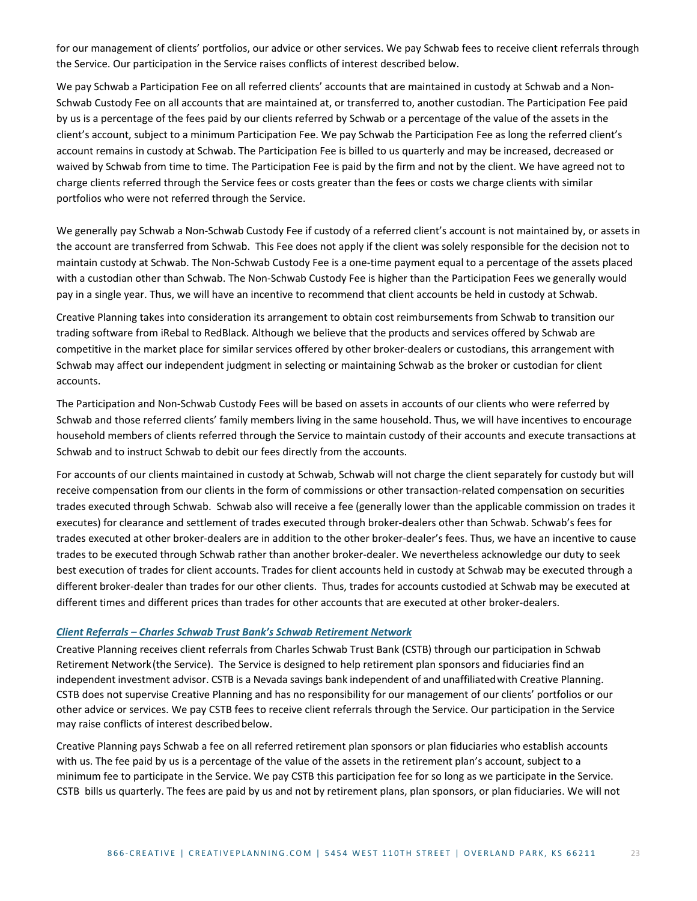for our management of clients' portfolios, our advice or other services. We pay Schwab fees to receive client referrals through the Service. Our participation in the Service raises conflicts of interest described below.

We pay Schwab a Participation Fee on all referred clients' accounts that are maintained in custody at Schwab and a Non-Schwab Custody Fee on all accounts that are maintained at, or transferred to, another custodian. The Participation Fee paid by us is a percentage of the fees paid by our clients referred by Schwab or a percentage of the value of the assets in the client's account, subject to a minimum Participation Fee. We pay Schwab the Participation Fee as long the referred client's account remains in custody at Schwab. The Participation Fee is billed to us quarterly and may be increased, decreased or waived by Schwab from time to time. The Participation Fee is paid by the firm and not by the client. We have agreed not to charge clients referred through the Service fees or costs greater than the fees or costs we charge clients with similar portfolios who were not referred through the Service.

We generally pay Schwab a Non-Schwab Custody Fee if custody of a referred client's account is not maintained by, or assets in the account are transferred from Schwab. This Fee does not apply if the client was solely responsible for the decision not to maintain custody at Schwab. The Non-Schwab Custody Fee is a one-time payment equal to a percentage of the assets placed with a custodian other than Schwab. The Non-Schwab Custody Fee is higher than the Participation Fees we generally would pay in a single year. Thus, we will have an incentive to recommend that client accounts be held in custody at Schwab.

Creative Planning takes into consideration its arrangement to obtain cost reimbursements from Schwab to transition our trading software from iRebal to RedBlack. Although we believe that the products and services offered by Schwab are competitive in the market place for similar services offered by other broker-dealers or custodians, this arrangement with Schwab may affect our independent judgment in selecting or maintaining Schwab as the broker or custodian for client accounts.

The Participation and Non-Schwab Custody Fees will be based on assets in accounts of our clients who were referred by Schwab and those referred clients' family members living in the same household. Thus, we will have incentives to encourage household members of clients referred through the Service to maintain custody of their accounts and execute transactions at Schwab and to instruct Schwab to debit our fees directly from the accounts.

For accounts of our clients maintained in custody at Schwab, Schwab will not charge the client separately for custody but will receive compensation from our clients in the form of commissions or other transaction-related compensation on securities trades executed through Schwab. Schwab also will receive a fee (generally lower than the applicable commission on trades it executes) for clearance and settlement of trades executed through broker-dealers other than Schwab. Schwab's fees for trades executed at other broker-dealers are in addition to the other broker-dealer's fees. Thus, we have an incentive to cause trades to be executed through Schwab rather than another broker-dealer. We nevertheless acknowledge our duty to seek best execution of trades for client accounts. Trades for client accounts held in custody at Schwab may be executed through a different broker-dealer than trades for our other clients. Thus, trades for accounts custodied at Schwab may be executed at different times and different prices than trades for other accounts that are executed at other broker-dealers.

#### <span id="page-22-0"></span>*Client Referrals – Charles Schwab Trust Bank's Schwab Retirement Network*

Creative Planning receives client referrals from Charles Schwab Trust Bank (CSTB) through our participation in Schwab Retirement Network(the Service). The Service is designed to help retirement plan sponsors and fiduciaries find an independent investment advisor. CSTB is a Nevada savings bank independent of and unaffiliatedwith Creative Planning. CSTB does not supervise Creative Planning and has no responsibility for our management of our clients' portfolios or our other advice or services. We pay CSTB fees to receive client referrals through the Service. Our participation in the Service may raise conflicts of interest described below.

Creative Planning pays Schwab a fee on all referred retirement plan sponsors or plan fiduciaries who establish accounts with us. The fee paid by us is a percentage of the value of the assets in the retirement plan's account, subject to a minimum fee to participate in the Service. We pay CSTB this participation fee for so long as we participate in the Service. CSTB bills us quarterly. The fees are paid by us and not by retirement plans, plan sponsors, or plan fiduciaries. We will not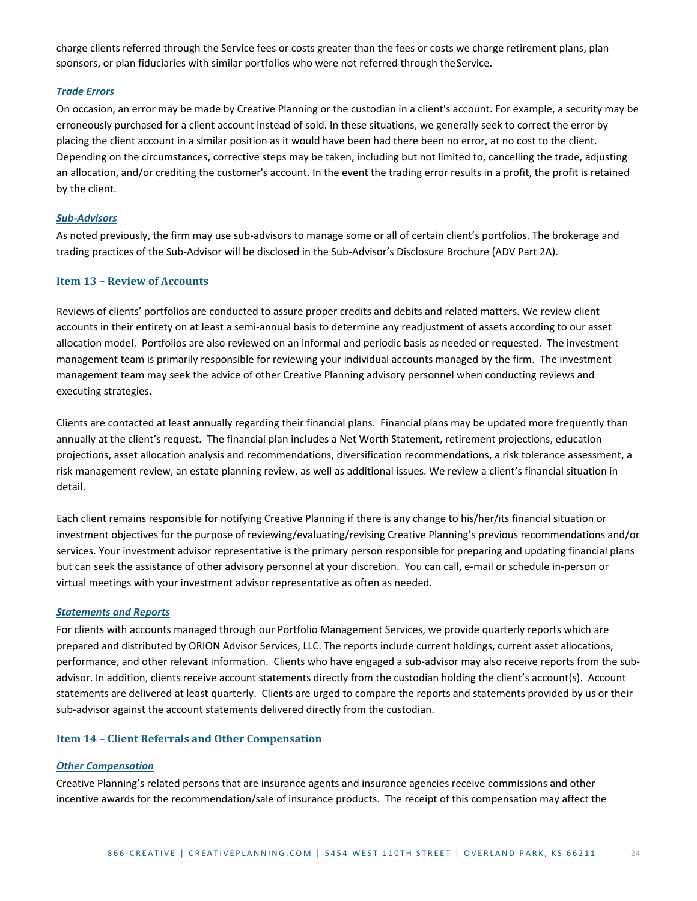charge clients referred through the Service fees or costs greater than the fees or costs we charge retirement plans, plan sponsors, or plan fiduciaries with similar portfolios who were not referred through theService.

#### <span id="page-23-0"></span>*Trade Errors*

On occasion, an error may be made by Creative Planning or the custodian in a client's account. For example, a security may be erroneously purchased for a client account instead of sold. In these situations, we generally seek to correct the error by placing the client account in a similar position as it would have been had there been no error, at no cost to the client. Depending on the circumstances, corrective steps may be taken, including but not limited to, cancelling the trade, adjusting an allocation, and/or crediting the customer's account. In the event the trading error results in a profit, the profit is retained by the client.

#### <span id="page-23-1"></span>*Sub-Advisors*

As noted previously, the firm may use sub-advisors to manage some or all of certain client's portfolios. The brokerage and trading practices of the Sub-Advisor will be disclosed in the Sub-Advisor's Disclosure Brochure (ADV Part 2A).

## <span id="page-23-2"></span>**Item 13 – Review of Accounts**

Reviews of clients' portfolios are conducted to assure proper credits and debits and related matters. We review client accounts in their entirety on at least a semi-annual basis to determine any readjustment of assets according to our asset allocation model. Portfolios are also reviewed on an informal and periodic basis as needed or requested. The investment management team is primarily responsible for reviewing your individual accounts managed by the firm. The investment management team may seek the advice of other Creative Planning advisory personnel when conducting reviews and executing strategies.

Clients are contacted at least annually regarding their financial plans. Financial plans may be updated more frequently than annually at the client's request. The financial plan includes a Net Worth Statement, retirement projections, education projections, asset allocation analysis and recommendations, diversification recommendations, a risk tolerance assessment, a risk management review, an estate planning review, as well as additional issues. We review a client's financial situation in detail.

Each client remains responsible for notifying Creative Planning if there is any change to his/her/its financial situation or investment objectives for the purpose of reviewing/evaluating/revising Creative Planning's previous recommendations and/or services. Your investment advisor representative is the primary person responsible for preparing and updating financial plans but can seek the assistance of other advisory personnel at your discretion. You can call, e-mail or schedule in-person or virtual meetings with your investment advisor representative as often as needed.

#### <span id="page-23-3"></span>*Statements and Reports*

For clients with accounts managed through our Portfolio Management Services, we provide quarterly reports which are prepared and distributed by ORION Advisor Services, LLC. The reports include current holdings, current asset allocations, performance, and other relevant information. Clients who have engaged a sub-advisor may also receive reports from the subadvisor. In addition, clients receive account statements directly from the custodian holding the client's account(s). Account statements are delivered at least quarterly. Clients are urged to compare the reports and statements provided by us or their sub-advisor against the account statements delivered directly from the custodian.

#### <span id="page-23-4"></span>**Item 14 – Client Referrals and Other Compensation**

#### <span id="page-23-5"></span>*Other Compensation*

Creative Planning's related persons that are insurance agents and insurance agencies receive commissions and other incentive awards for the recommendation/sale of insurance products. The receipt of this compensation may affect the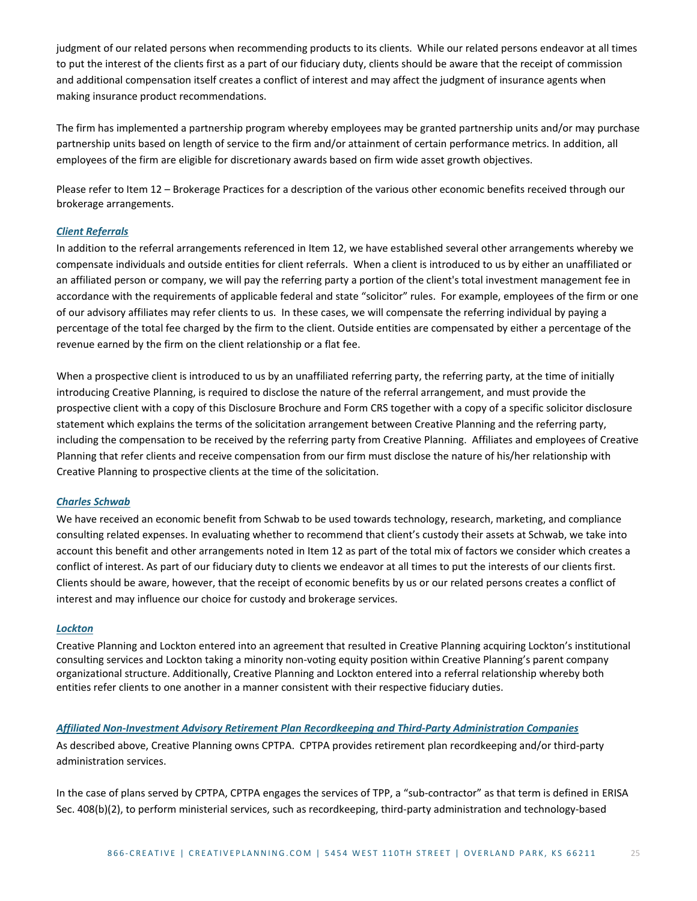judgment of our related persons when recommending products to its clients. While our related persons endeavor at all times to put the interest of the clients first as a part of our fiduciary duty, clients should be aware that the receipt of commission and additional compensation itself creates a conflict of interest and may affect the judgment of insurance agents when making insurance product recommendations.

The firm has implemented a partnership program whereby employees may be granted partnership units and/or may purchase partnership units based on length of service to the firm and/or attainment of certain performance metrics. In addition, all employees of the firm are eligible for discretionary awards based on firm wide asset growth objectives.

Please refer to Item 12 – Brokerage Practices for a description of the various other economic benefits received through our brokerage arrangements.

#### <span id="page-24-0"></span>*Client Referrals*

In addition to the referral arrangements referenced in Item 12, we have established several other arrangements whereby we compensate individuals and outside entities for client referrals. When a client is introduced to us by either an unaffiliated or an affiliated person or company, we will pay the referring party a portion of the client's total investment management fee in accordance with the requirements of applicable federal and state "solicitor" rules. For example, employees of the firm or one of our advisory affiliates may refer clients to us. In these cases, we will compensate the referring individual by paying a percentage of the total fee charged by the firm to the client. Outside entities are compensated by either a percentage of the revenue earned by the firm on the client relationship or a flat fee.

When a prospective client is introduced to us by an unaffiliated referring party, the referring party, at the time of initially introducing Creative Planning, is required to disclose the nature of the referral arrangement, and must provide the prospective client with a copy of this Disclosure Brochure and Form CRS together with a copy of a specific solicitor disclosure statement which explains the terms of the solicitation arrangement between Creative Planning and the referring party, including the compensation to be received by the referring party from Creative Planning. Affiliates and employees of Creative Planning that refer clients and receive compensation from our firm must disclose the nature of his/her relationship with Creative Planning to prospective clients at the time of the solicitation.

#### <span id="page-24-1"></span>*Charles Schwab*

We have received an economic benefit from Schwab to be used towards technology, research, marketing, and compliance consulting related expenses. In evaluating whether to recommend that client's custody their assets at Schwab, we take into account this benefit and other arrangements noted in Item 12 as part of the total mix of factors we consider which creates a conflict of interest. As part of our fiduciary duty to clients we endeavor at all times to put the interests of our clients first. Clients should be aware, however, that the receipt of economic benefits by us or our related persons creates a conflict of interest and may influence our choice for custody and brokerage services.

## <span id="page-24-2"></span>*Lockton*

Creative Planning and Lockton entered into an agreement that resulted in Creative Planning acquiring Lockton's institutional consulting services and Lockton taking a minority non-voting equity position within Creative Planning's parent company organizational structure. Additionally, Creative Planning and Lockton entered into a referral relationship whereby both entities refer clients to one another in a manner consistent with their respective fiduciary duties.

#### <span id="page-24-3"></span>*Affiliated Non-Investment Advisory Retirement Plan Recordkeeping and Third-Party Administration Companies*

As described above, Creative Planning owns CPTPA. CPTPA provides retirement plan recordkeeping and/or third-party administration services.

In the case of plans served by CPTPA, CPTPA engages the services of TPP, a "sub-contractor" as that term is defined in ERISA Sec. 408(b)(2), to perform ministerial services, such as recordkeeping, third-party administration and technology-based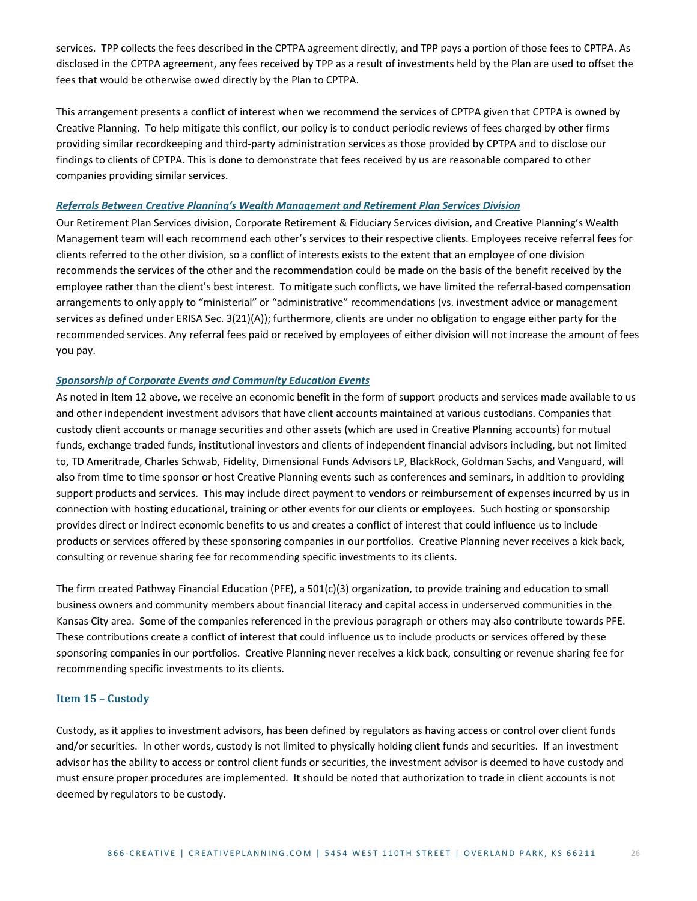services. TPP collects the fees described in the CPTPA agreement directly, and TPP pays a portion of those fees to CPTPA. As disclosed in the CPTPA agreement, any fees received by TPP as a result of investments held by the Plan are used to offset the fees that would be otherwise owed directly by the Plan to CPTPA.

This arrangement presents a conflict of interest when we recommend the services of CPTPA given that CPTPA is owned by Creative Planning. To help mitigate this conflict, our policy is to conduct periodic reviews of fees charged by other firms providing similar recordkeeping and third-party administration services as those provided by CPTPA and to disclose our findings to clients of CPTPA. This is done to demonstrate that fees received by us are reasonable compared to other companies providing similar services.

#### <span id="page-25-0"></span>*Referrals Between Creative Planning's Wealth Management and Retirement Plan Services Division*

Our Retirement Plan Services division, Corporate Retirement & Fiduciary Services division, and Creative Planning's Wealth Management team will each recommend each other's services to their respective clients. Employees receive referral fees for clients referred to the other division, so a conflict of interests exists to the extent that an employee of one division recommends the services of the other and the recommendation could be made on the basis of the benefit received by the employee rather than the client's best interest. To mitigate such conflicts, we have limited the referral-based compensation arrangements to only apply to "ministerial" or "administrative" recommendations (vs. investment advice or management services as defined under ERISA Sec. 3(21)(A)); furthermore, clients are under no obligation to engage either party for the recommended services. Any referral fees paid or received by employees of either division will not increase the amount of fees you pay.

#### <span id="page-25-1"></span>*Sponsorship of Corporate Events and Community Education Events*

As noted in Item 12 above, we receive an economic benefit in the form of support products and services made available to us and other independent investment advisors that have client accounts maintained at various custodians. Companies that custody client accounts or manage securities and other assets (which are used in Creative Planning accounts) for mutual funds, exchange traded funds, institutional investors and clients of independent financial advisors including, but not limited to, TD Ameritrade, Charles Schwab, Fidelity, Dimensional Funds Advisors LP, BlackRock, Goldman Sachs, and Vanguard, will also from time to time sponsor or host Creative Planning events such as conferences and seminars, in addition to providing support products and services. This may include direct payment to vendors or reimbursement of expenses incurred by us in connection with hosting educational, training or other events for our clients or employees. Such hosting or sponsorship provides direct or indirect economic benefits to us and creates a conflict of interest that could influence us to include products or services offered by these sponsoring companies in our portfolios. Creative Planning never receives a kick back, consulting or revenue sharing fee for recommending specific investments to its clients.

The firm created Pathway Financial Education (PFE), a 501(c)(3) organization, to provide training and education to small business owners and community members about financial literacy and capital access in underserved communities in the Kansas City area. Some of the companies referenced in the previous paragraph or others may also contribute towards PFE. These contributions create a conflict of interest that could influence us to include products or services offered by these sponsoring companies in our portfolios. Creative Planning never receives a kick back, consulting or revenue sharing fee for recommending specific investments to its clients.

#### <span id="page-25-2"></span>**Item 15 – Custody**

Custody, as it applies to investment advisors, has been defined by regulators as having access or control over client funds and/or securities. In other words, custody is not limited to physically holding client funds and securities. If an investment advisor has the ability to access or control client funds or securities, the investment advisor is deemed to have custody and must ensure proper procedures are implemented. It should be noted that authorization to trade in client accounts is not deemed by regulators to be custody.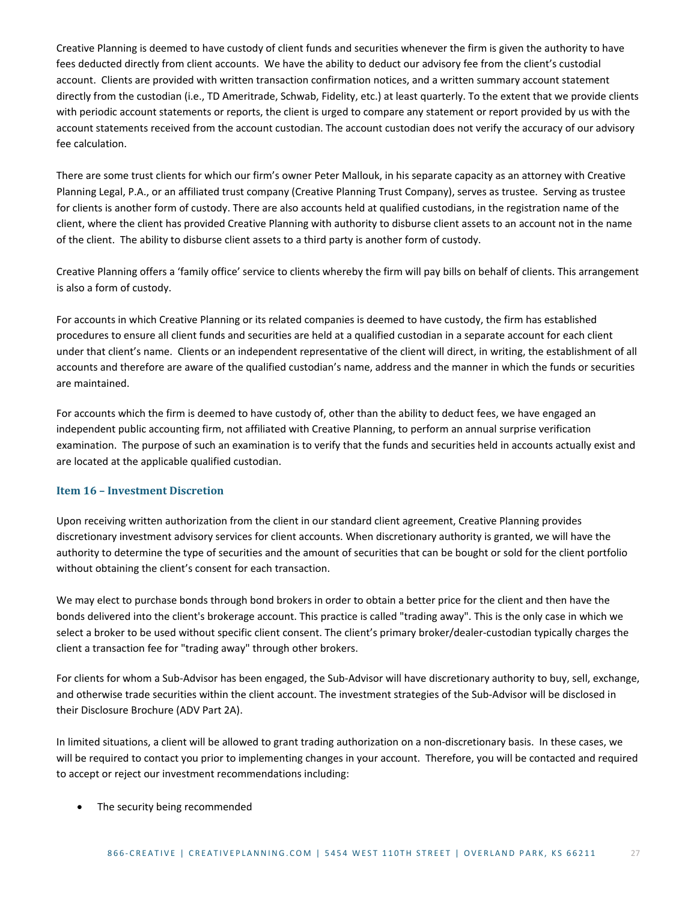Creative Planning is deemed to have custody of client funds and securities whenever the firm is given the authority to have fees deducted directly from client accounts. We have the ability to deduct our advisory fee from the client's custodial account. Clients are provided with written transaction confirmation notices, and a written summary account statement directly from the custodian (i.e., TD Ameritrade, Schwab, Fidelity, etc.) at least quarterly. To the extent that we provide clients with periodic account statements or reports, the client is urged to compare any statement or report provided by us with the account statements received from the account custodian. The account custodian does not verify the accuracy of our advisory fee calculation.

There are some trust clients for which our firm's owner Peter Mallouk, in his separate capacity as an attorney with Creative Planning Legal, P.A., or an affiliated trust company (Creative Planning Trust Company), serves as trustee. Serving as trustee for clients is another form of custody. There are also accounts held at qualified custodians, in the registration name of the client, where the client has provided Creative Planning with authority to disburse client assets to an account not in the name of the client. The ability to disburse client assets to a third party is another form of custody.

Creative Planning offers a 'family office' service to clients whereby the firm will pay bills on behalf of clients. This arrangement is also a form of custody.

For accounts in which Creative Planning or its related companies is deemed to have custody, the firm has established procedures to ensure all client funds and securities are held at a qualified custodian in a separate account for each client under that client's name. Clients or an independent representative of the client will direct, in writing, the establishment of all accounts and therefore are aware of the qualified custodian's name, address and the manner in which the funds or securities are maintained.

For accounts which the firm is deemed to have custody of, other than the ability to deduct fees, we have engaged an independent public accounting firm, not affiliated with Creative Planning, to perform an annual surprise verification examination. The purpose of such an examination is to verify that the funds and securities held in accounts actually exist and are located at the applicable qualified custodian.

# <span id="page-26-0"></span>**Item 16 – Investment Discretion**

Upon receiving written authorization from the client in our standard client agreement, Creative Planning provides discretionary investment advisory services for client accounts. When discretionary authority is granted, we will have the authority to determine the type of securities and the amount of securities that can be bought or sold for the client portfolio without obtaining the client's consent for each transaction.

We may elect to purchase bonds through bond brokers in order to obtain a better price for the client and then have the bonds delivered into the client's brokerage account. This practice is called "trading away". This is the only case in which we select a broker to be used without specific client consent. The client's primary broker/dealer-custodian typically charges the client a transaction fee for "trading away" through other brokers.

For clients for whom a Sub-Advisor has been engaged, the Sub-Advisor will have discretionary authority to buy, sell, exchange, and otherwise trade securities within the client account. The investment strategies of the Sub-Advisor will be disclosed in their Disclosure Brochure (ADV Part 2A).

In limited situations, a client will be allowed to grant trading authorization on a non-discretionary basis. In these cases, we will be required to contact you prior to implementing changes in your account. Therefore, you will be contacted and required to accept or reject our investment recommendations including:

• The security being recommended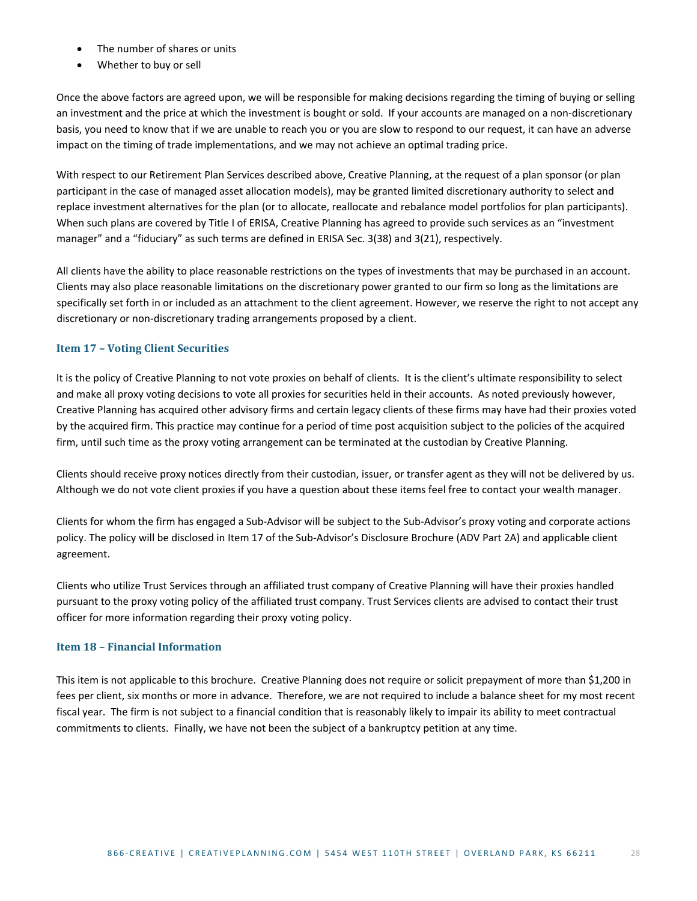- The number of shares or units
- Whether to buy or sell

Once the above factors are agreed upon, we will be responsible for making decisions regarding the timing of buying or selling an investment and the price at which the investment is bought or sold. If your accounts are managed on a non-discretionary basis, you need to know that if we are unable to reach you or you are slow to respond to our request, it can have an adverse impact on the timing of trade implementations, and we may not achieve an optimal trading price.

With respect to our Retirement Plan Services described above, Creative Planning, at the request of a plan sponsor (or plan participant in the case of managed asset allocation models), may be granted limited discretionary authority to select and replace investment alternatives for the plan (or to allocate, reallocate and rebalance model portfolios for plan participants). When such plans are covered by Title I of ERISA, Creative Planning has agreed to provide such services as an "investment manager" and a "fiduciary" as such terms are defined in ERISA Sec. 3(38) and 3(21), respectively.

All clients have the ability to place reasonable restrictions on the types of investments that may be purchased in an account. Clients may also place reasonable limitations on the discretionary power granted to our firm so long as the limitations are specifically set forth in or included as an attachment to the client agreement. However, we reserve the right to not accept any discretionary or non-discretionary trading arrangements proposed by a client.

# <span id="page-27-0"></span>**Item 17 – Voting Client Securities**

It is the policy of Creative Planning to not vote proxies on behalf of clients. It is the client's ultimate responsibility to select and make all proxy voting decisions to vote all proxies for securities held in their accounts. As noted previously however, Creative Planning has acquired other advisory firms and certain legacy clients of these firms may have had their proxies voted by the acquired firm. This practice may continue for a period of time post acquisition subject to the policies of the acquired firm, until such time as the proxy voting arrangement can be terminated at the custodian by Creative Planning.

Clients should receive proxy notices directly from their custodian, issuer, or transfer agent as they will not be delivered by us. Although we do not vote client proxies if you have a question about these items feel free to contact your wealth manager.

Clients for whom the firm has engaged a Sub-Advisor will be subject to the Sub-Advisor's proxy voting and corporate actions policy. The policy will be disclosed in Item 17 of the Sub-Advisor's Disclosure Brochure (ADV Part 2A) and applicable client agreement.

Clients who utilize Trust Services through an affiliated trust company of Creative Planning will have their proxies handled pursuant to the proxy voting policy of the affiliated trust company. Trust Services clients are advised to contact their trust officer for more information regarding their proxy voting policy.

## <span id="page-27-1"></span>**Item 18 – Financial Information**

This item is not applicable to this brochure. Creative Planning does not require or solicit prepayment of more than \$1,200 in fees per client, six months or more in advance. Therefore, we are not required to include a balance sheet for my most recent fiscal year. The firm is not subject to a financial condition that is reasonably likely to impair its ability to meet contractual commitments to clients. Finally, we have not been the subject of a bankruptcy petition at any time.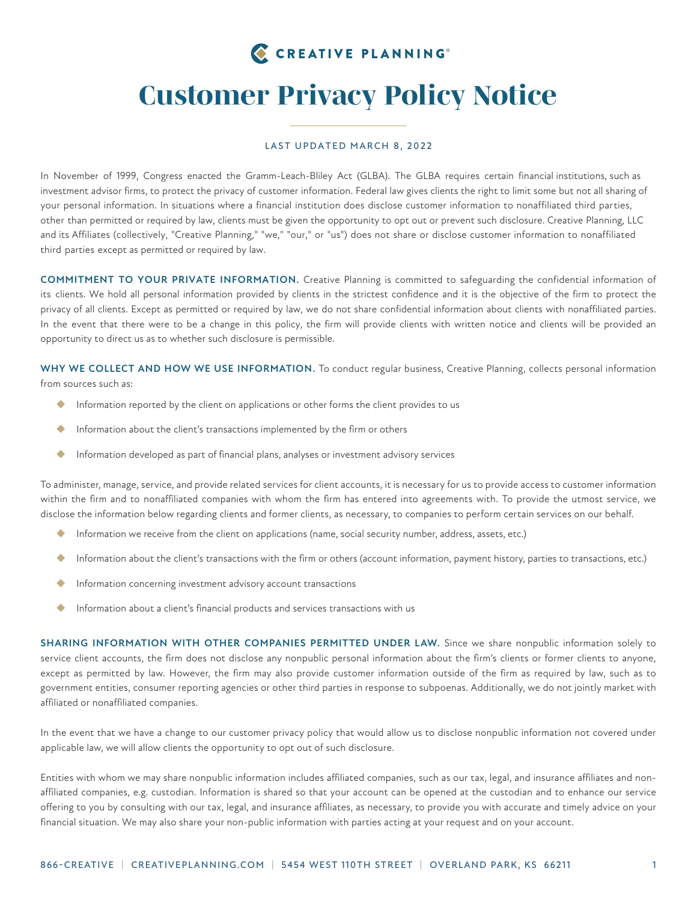# CREATIVE PLANNING®

# *Customer Privacy Policy Notice*

#### LAST UPDATED MARCH 8, 2022

In November of 1999, Congress enacted the Gramm-Leach-Bliley Act (GLBA). The GLBA requires certain financial institutions, such as investment advisor firms, to protect the privacy of customer information. Federal law gives clients the right to limit some but not all sharing of your personal information. In situations where a financial institution does disclose customer information to nonaffiliated third parties, other than permitted or required by law, clients must be given the opportunity to opt out or prevent such disclosure. Creative Planning, LLC and its Affiliates (collectively, "Creative Planning," "we," "our," or "us") does not share or disclose customer information to nonaffiliated third parties except as permitted or required by law.

**COMMITMENT TO YOUR PRIVATE INFORMATION.** Creative Planning is committed to safeguarding the confidential information of its clients. We hold all personal information provided by clients in the strictest confidence and it is the objective of the firm to protect the privacy of all clients. Except as permitted or required by law, we do not share confidential information about clients with nonaffiliated parties. In the event that there were to be a change in this policy, the firm will provide clients with written notice and clients will be provided an opportunity to direct us as to whether such disclosure is permissible.

**WHY WE COLLECT AND HOW WE USE INFORMATION.** To conduct regular business, Creative Planning, collects personal information from sources such as:

- Information reported by the client on applications or other forms the client provides to us
- **Information about the client's transactions implemented by the firm or others**
- Information developed as part of financial plans, analyses or investment advisory services

To administer, manage, service, and provide related services for client accounts, it is necessary for us to provide access to customer information within the firm and to nonaffiliated companies with whom the firm has entered into agreements with. To provide the utmost service, we disclose the information below regarding clients and former clients, as necessary, to companies to perform certain services on our behalf.

- Information we receive from the client on applications (name, social security number, address, assets, etc.)
- Information about the client's transactions with the firm or others (account information, payment history, parties to transactions, etc.)
- Information concerning investment advisory account transactions
- Information about a client's financial products and services transactions with us

**SHARING INFORMATION WITH OTHER COMPANIES PERMITTED UNDER LAW.** Since we share nonpublic information solely to service client accounts, the firm does not disclose any nonpublic personal information about the firm's clients or former clients to anyone, except as permitted by law. However, the firm may also provide customer information outside of the firm as required by law, such as to government entities, consumer reporting agencies or other third parties in response to subpoenas. Additionally, we do not jointly market with affiliated or nonaffiliated companies.

In the event that we have a change to our customer privacy policy that would allow us to disclose nonpublic information not covered under applicable law, we will allow clients the opportunity to opt out of such disclosure.

Entities with whom we may share nonpublic information includes affiliated companies, such as our tax, legal, and insurance affiliates and nonaffiliated companies, e.g. custodian. Information is shared so that your account can be opened at the custodian and to enhance our service offering to you by consulting with our tax, legal, and insurance affiliates, as necessary, to provide you with accurate and timely advice on your financial situation. We may also share your non-public information with parties acting at your request and on your account.